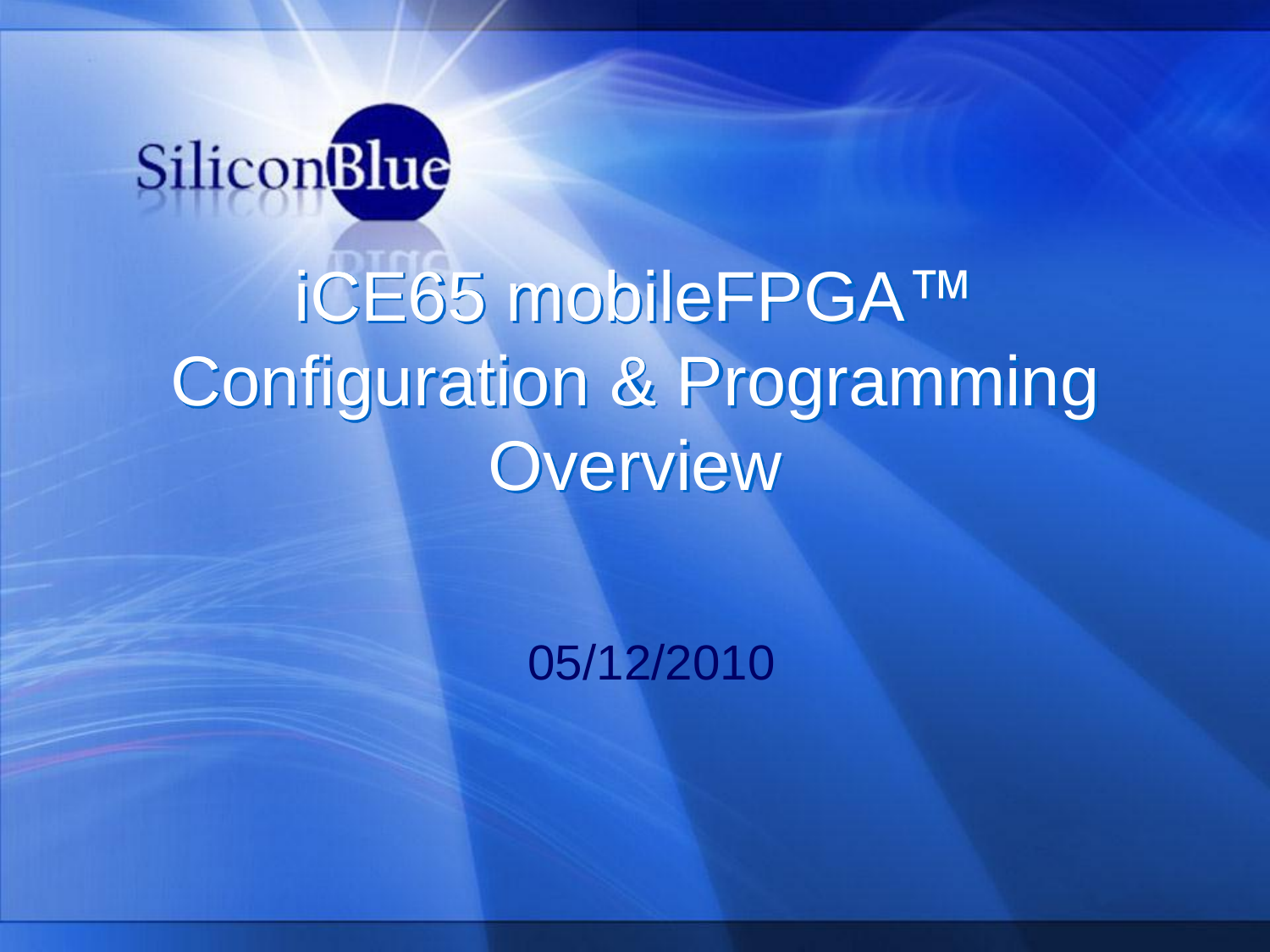

# iCE65 mobileFPGA™ Configuration & Programming **Overview**

05/12/2010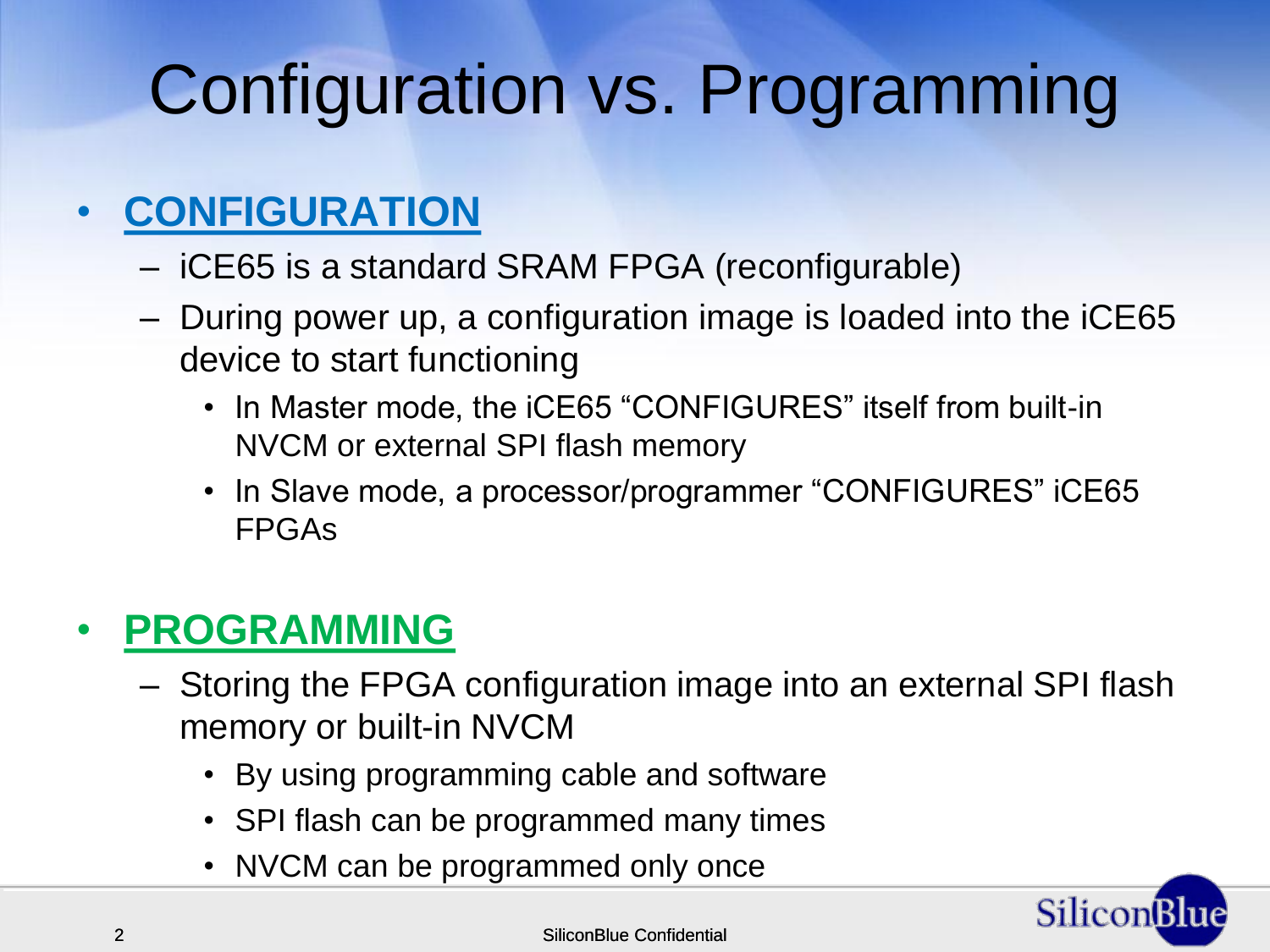# Configuration vs. Programming

#### • **CONFIGURATION**

- iCE65 is a standard SRAM FPGA (reconfigurable)
- During power up, a configuration image is loaded into the iCE65 device to start functioning
	- In Master mode, the iCE65 "CONFIGURES" itself from built-in NVCM or external SPI flash memory
	- In Slave mode, a processor/programmer "CONFIGURES" iCE65 FPGAs

#### • **PROGRAMMING**

- Storing the FPGA configuration image into an external SPI flash memory or built-in NVCM
	- By using programming cable and software
	- SPI flash can be programmed many times
	- NVCM can be programmed only once

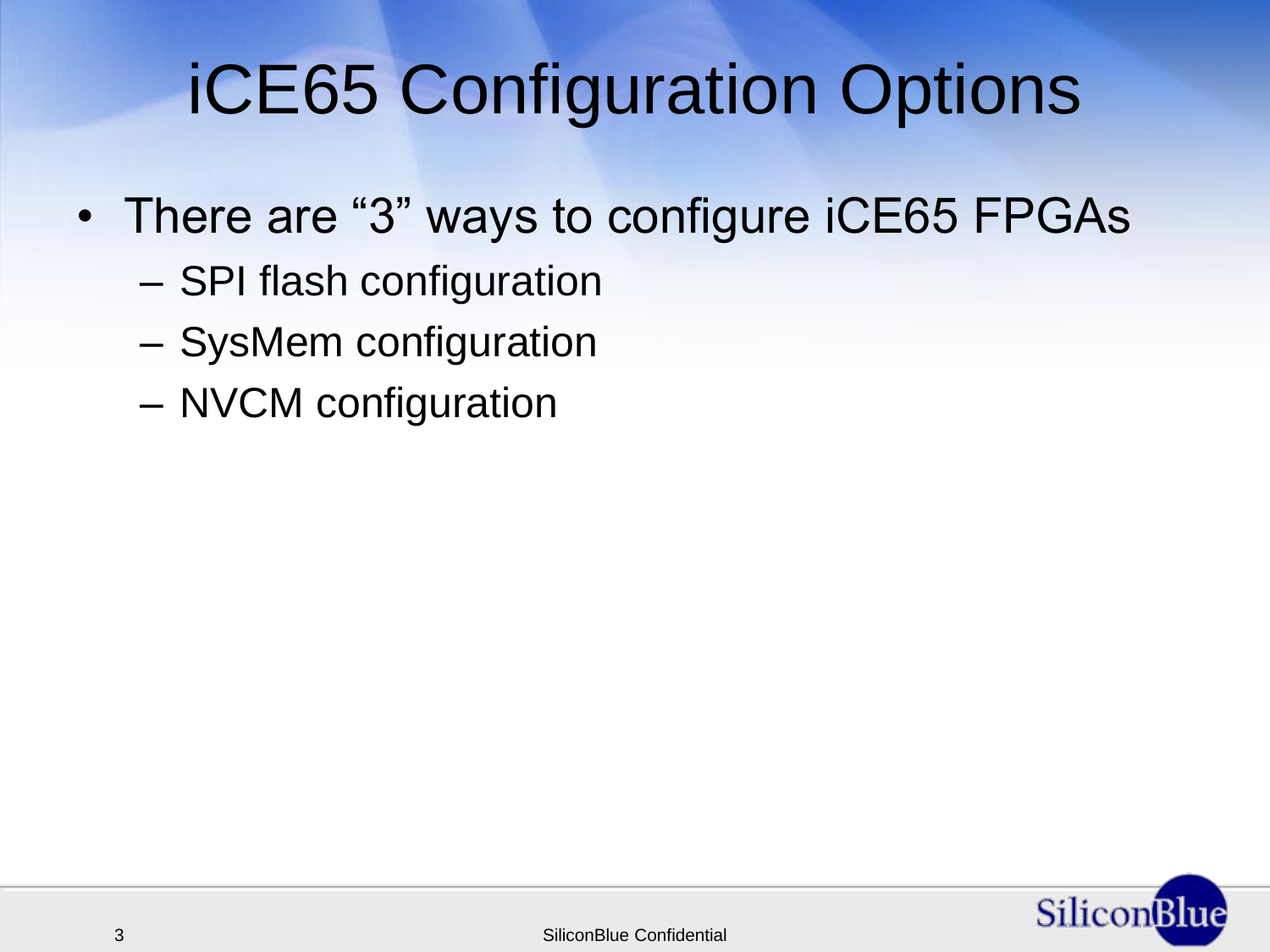## iCE65 Configuration Options

- There are "3" ways to configure iCE65 FPGAs
	- SPI flash configuration
	- SysMem configuration
	- NVCM configuration

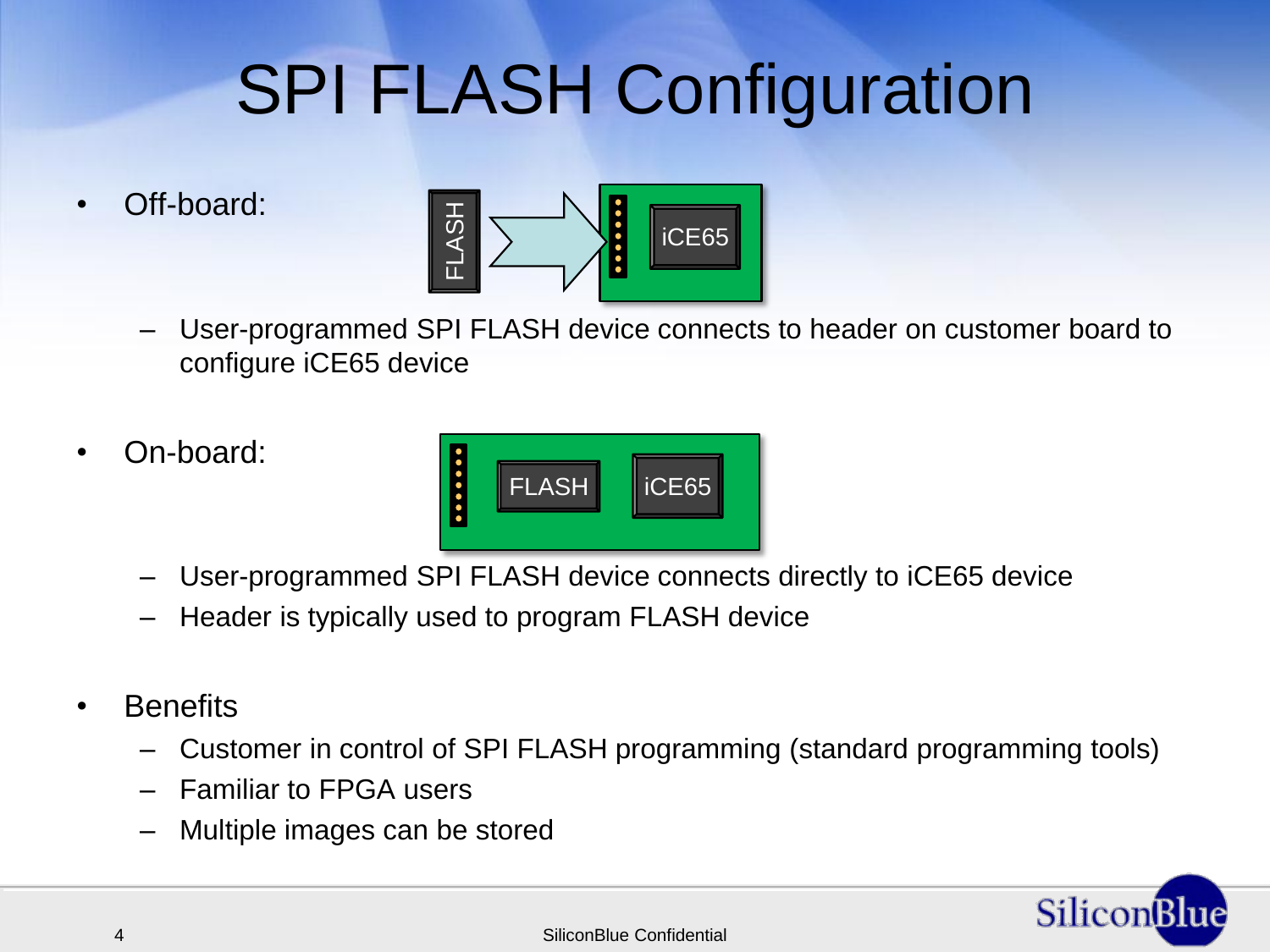# SPI FLASH Configuration

• Off-board:



- User-programmed SPI FLASH device connects to header on customer board to configure iCE65 device
- On-board:



- User-programmed SPI FLASH device connects directly to iCE65 device
- Header is typically used to program FLASH device
- Benefits
	- Customer in control of SPI FLASH programming (standard programming tools)
	- Familiar to FPGA users
	- Multiple images can be stored

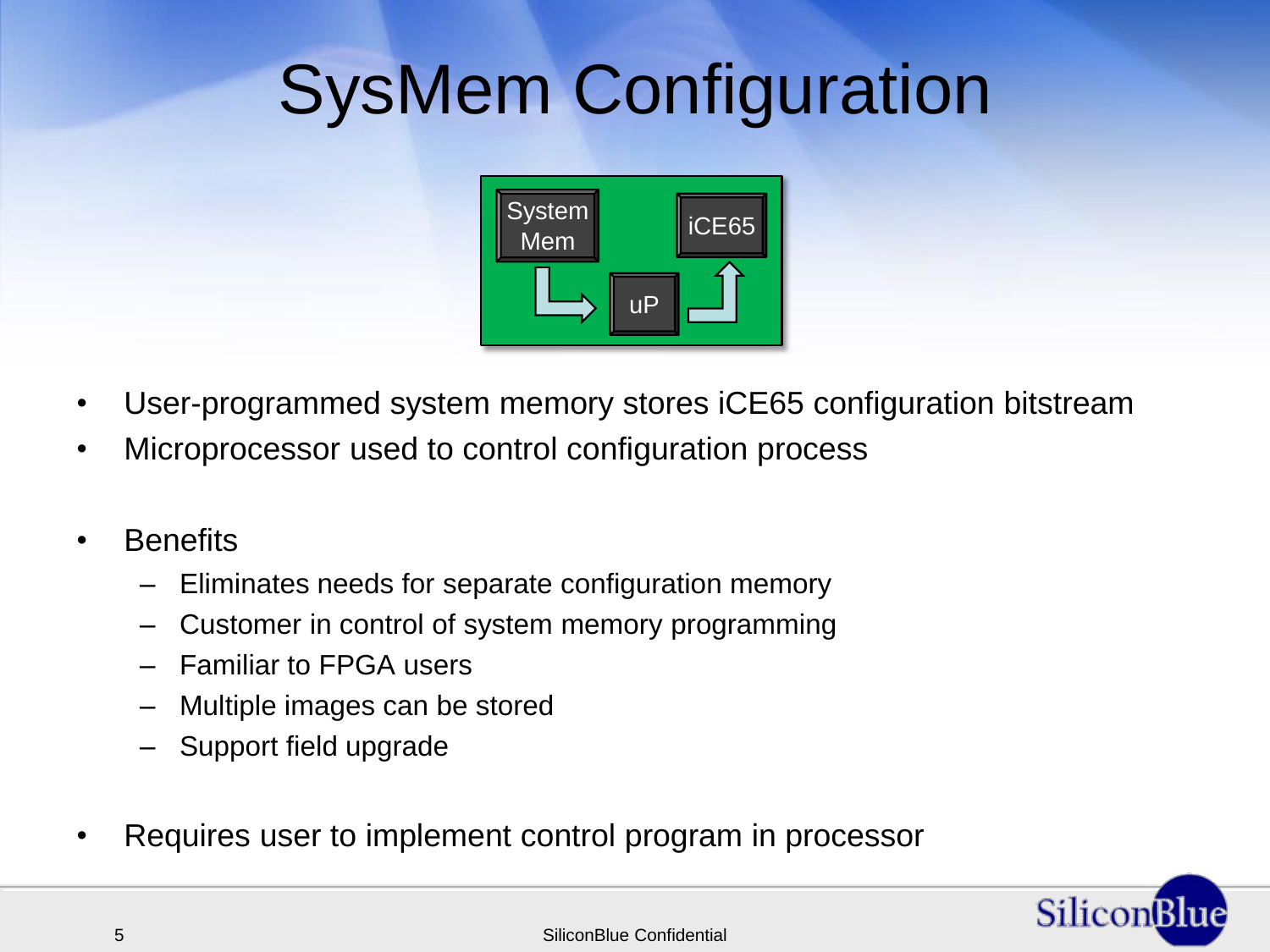## SysMem Configuration



- User-programmed system memory stores iCE65 configuration bitstream
- Microprocessor used to control configuration process
- Benefits
	- Eliminates needs for separate configuration memory
	- Customer in control of system memory programming
	- Familiar to FPGA users
	- Multiple images can be stored
	- Support field upgrade
- Requires user to implement control program in processor

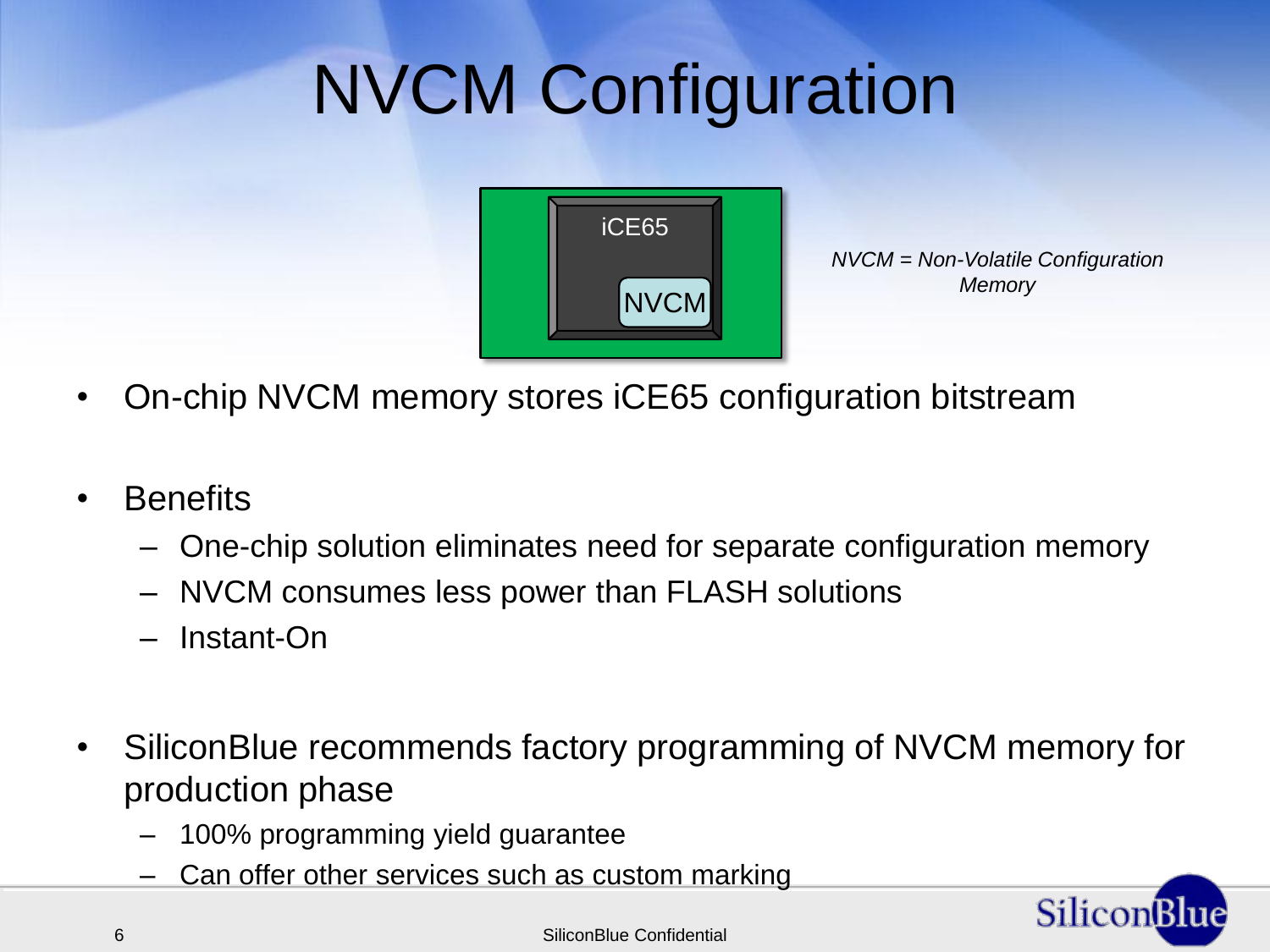# NVCM Configuration



*NVCM = Non-Volatile Configuration Memory*

- On-chip NVCM memory stores iCE65 configuration bitstream
- Benefits
	- One-chip solution eliminates need for separate configuration memory
	- NVCM consumes less power than FLASH solutions
	- Instant-On
- SiliconBlue recommends factory programming of NVCM memory for production phase
	- 100% programming yield guarantee
	- Can offer other services such as custom marking

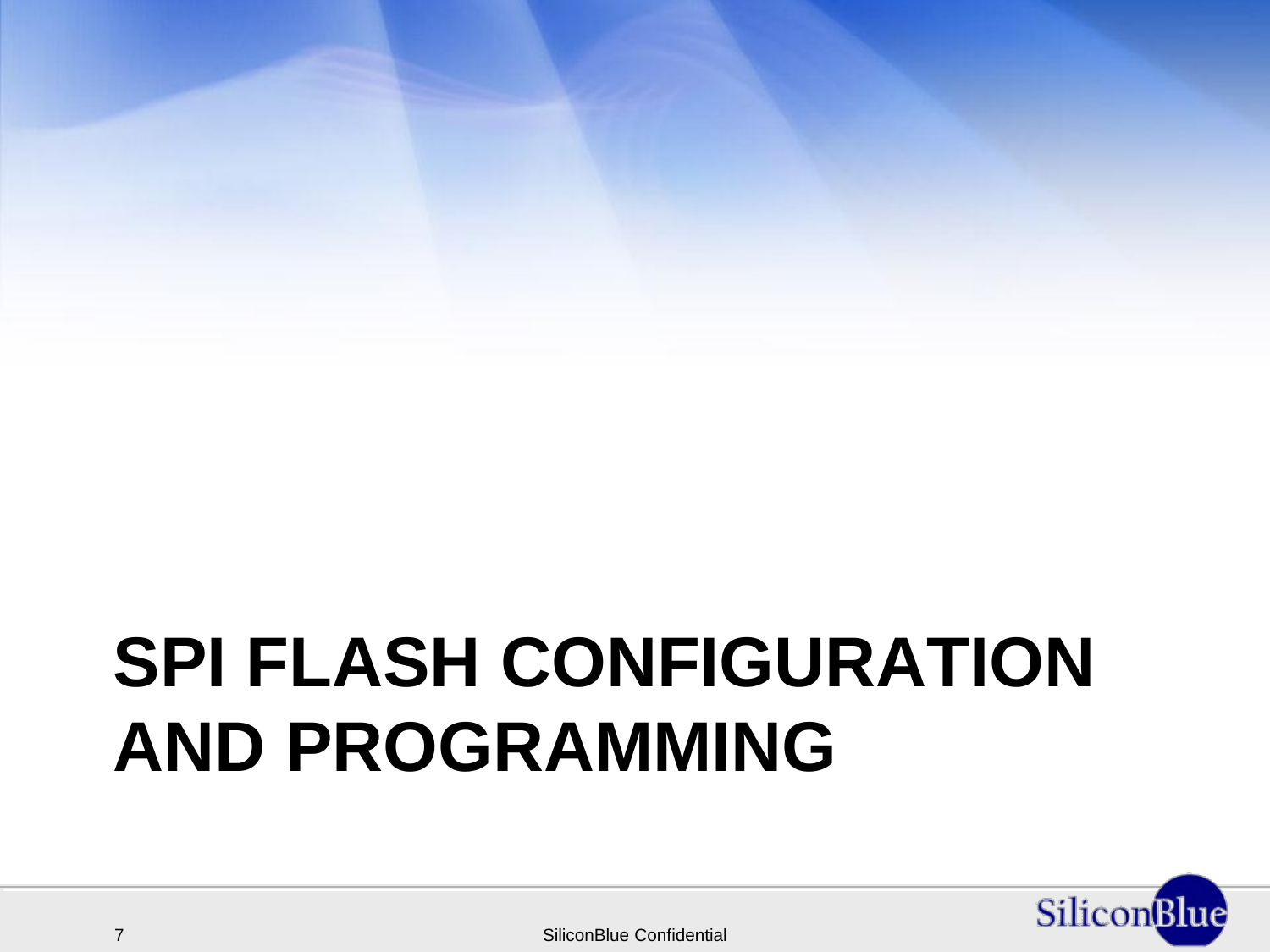# **SPI FLASH CONFIGURATION AND PROGRAMMING**

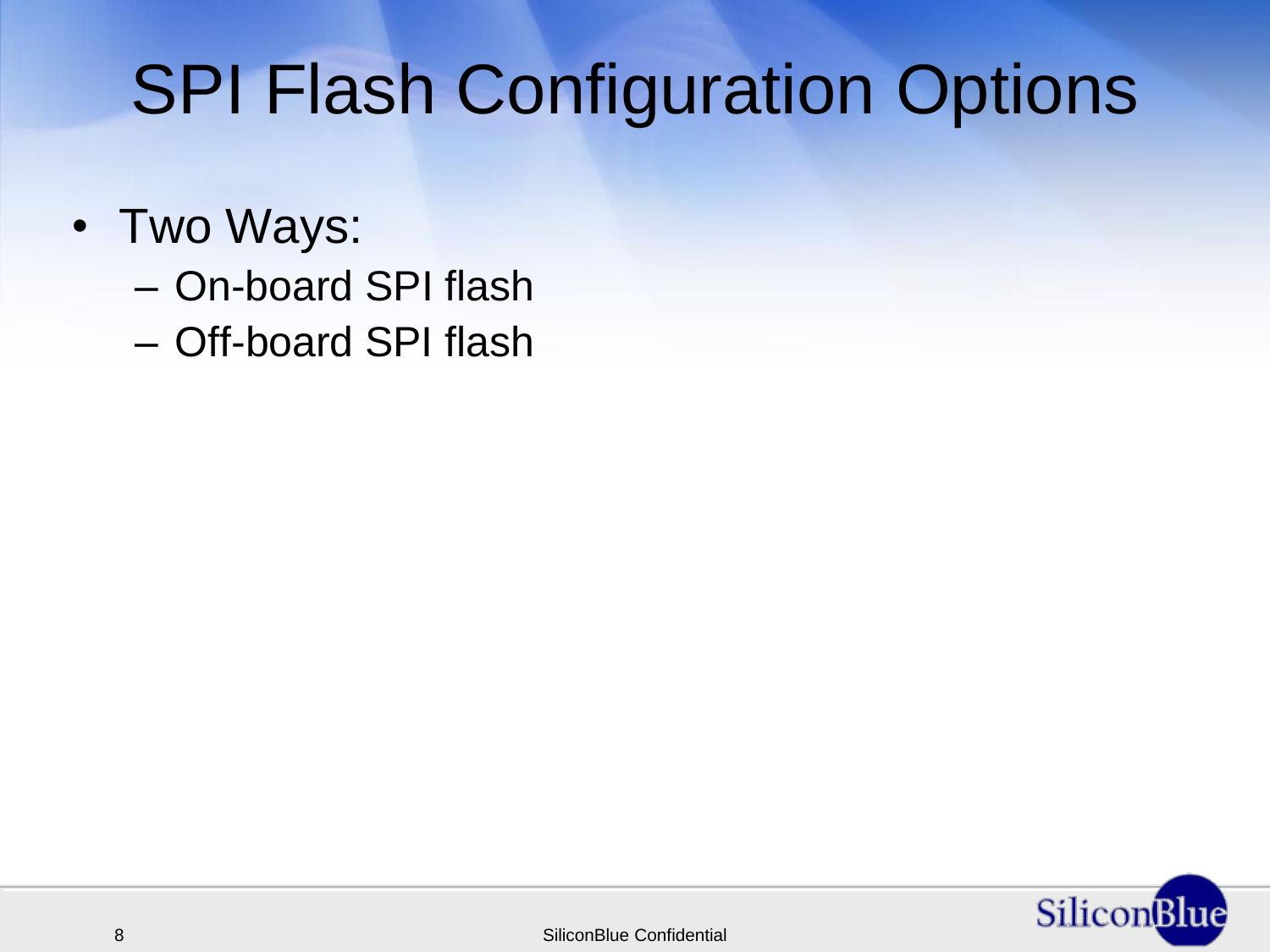### SPI Flash Configuration Options

- Two Ways:
	- On-board SPI flash
	- Off-board SPI flash

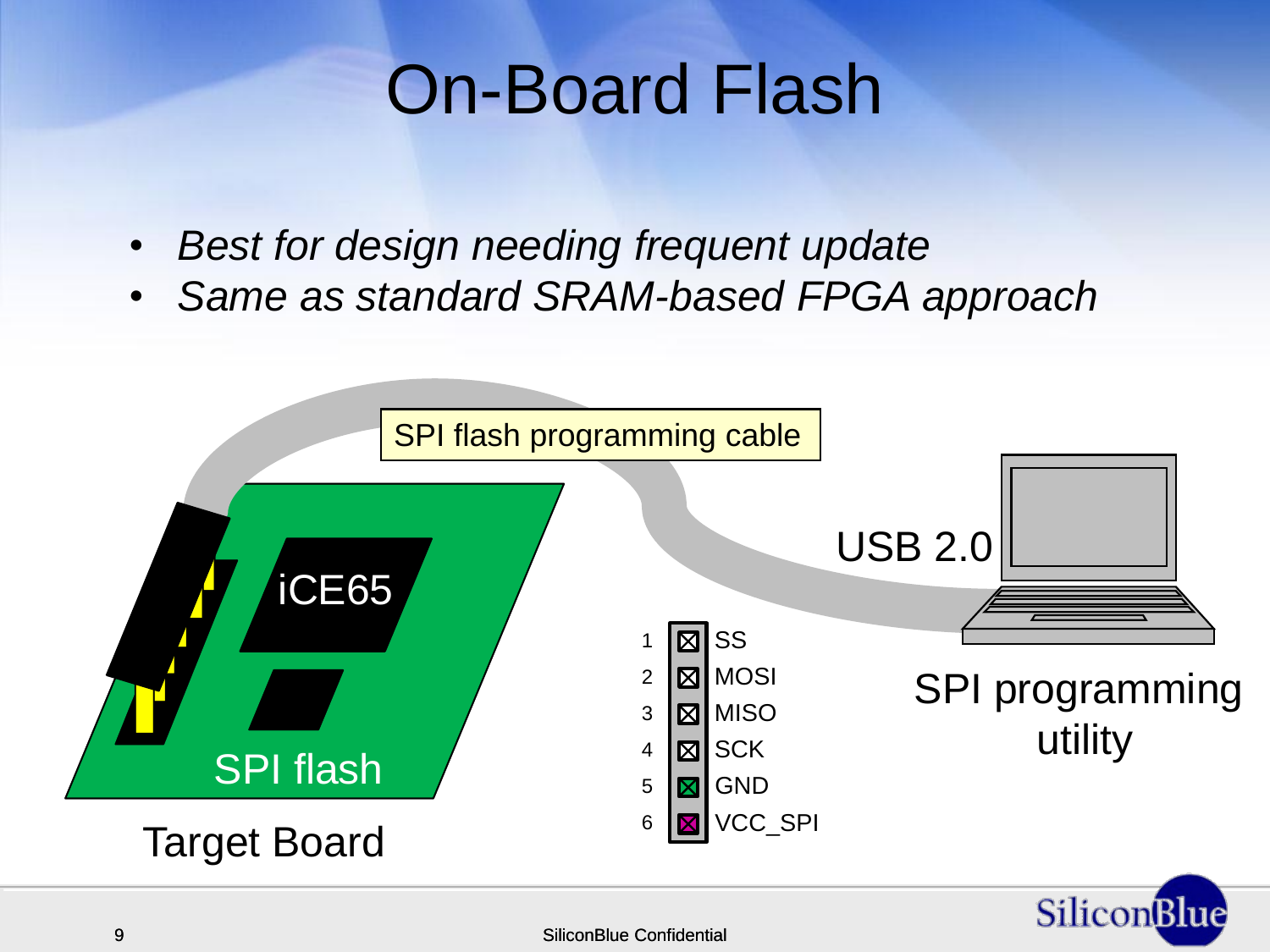#### On-Board Flash

- *Best for design needing frequent update*
- *Same as standard SRAM-based FPGA approach*

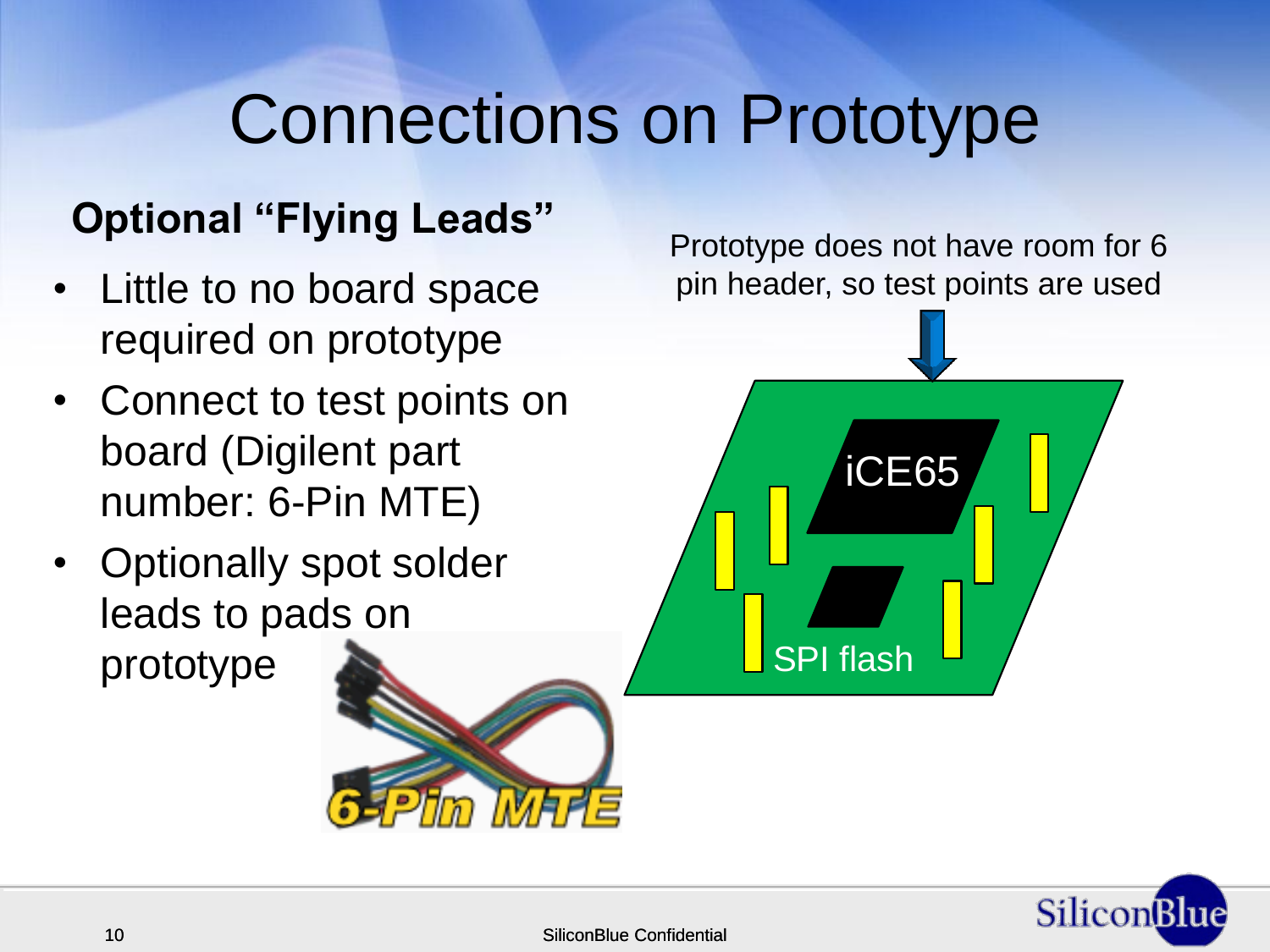#### Connections on Prototype

#### **Optional "Flying Leads"**

- Little to no board space required on prototype
- Connect to test points on board (Digilent part number: 6-Pin MTE)
- Optionally spot solder leads to pads on



Prototype does not have room for 6 pin header, so test points are used

iCE65

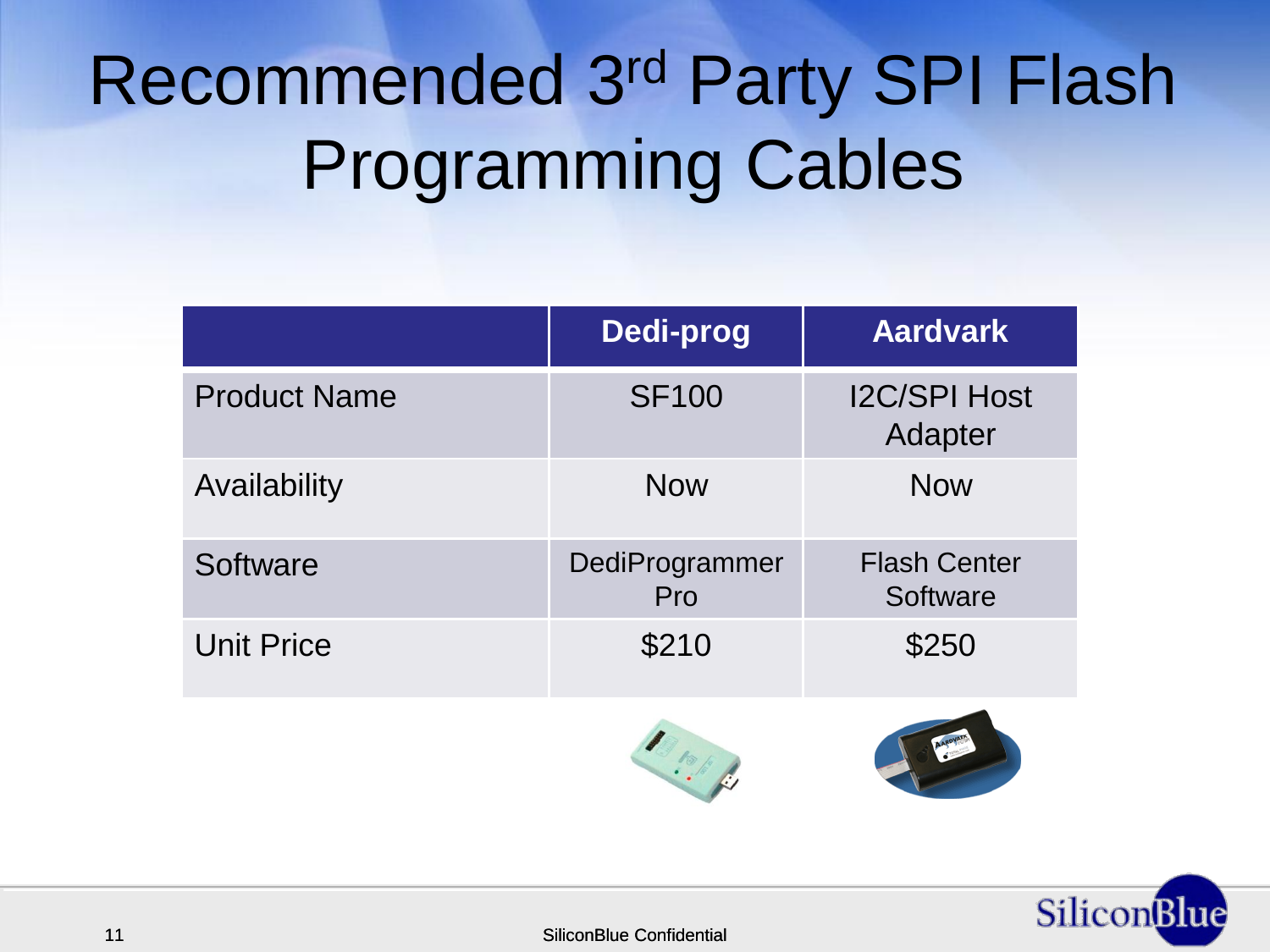# Recommended 3rd Party SPI Flash Programming Cables

|                     | Dedi-prog             | <b>Aardvark</b>                 |
|---------------------|-----------------------|---------------------------------|
| <b>Product Name</b> | <b>SF100</b>          | <b>I2C/SPI Host</b><br>Adapter  |
| Availability        | <b>Now</b>            | <b>Now</b>                      |
| Software            | DediProgrammer<br>Pro | <b>Flash Center</b><br>Software |
| <b>Unit Price</b>   | \$210                 | \$250                           |
|                     | $\frac{1}{2}$         |                                 |



11 SiliconBlue Confidential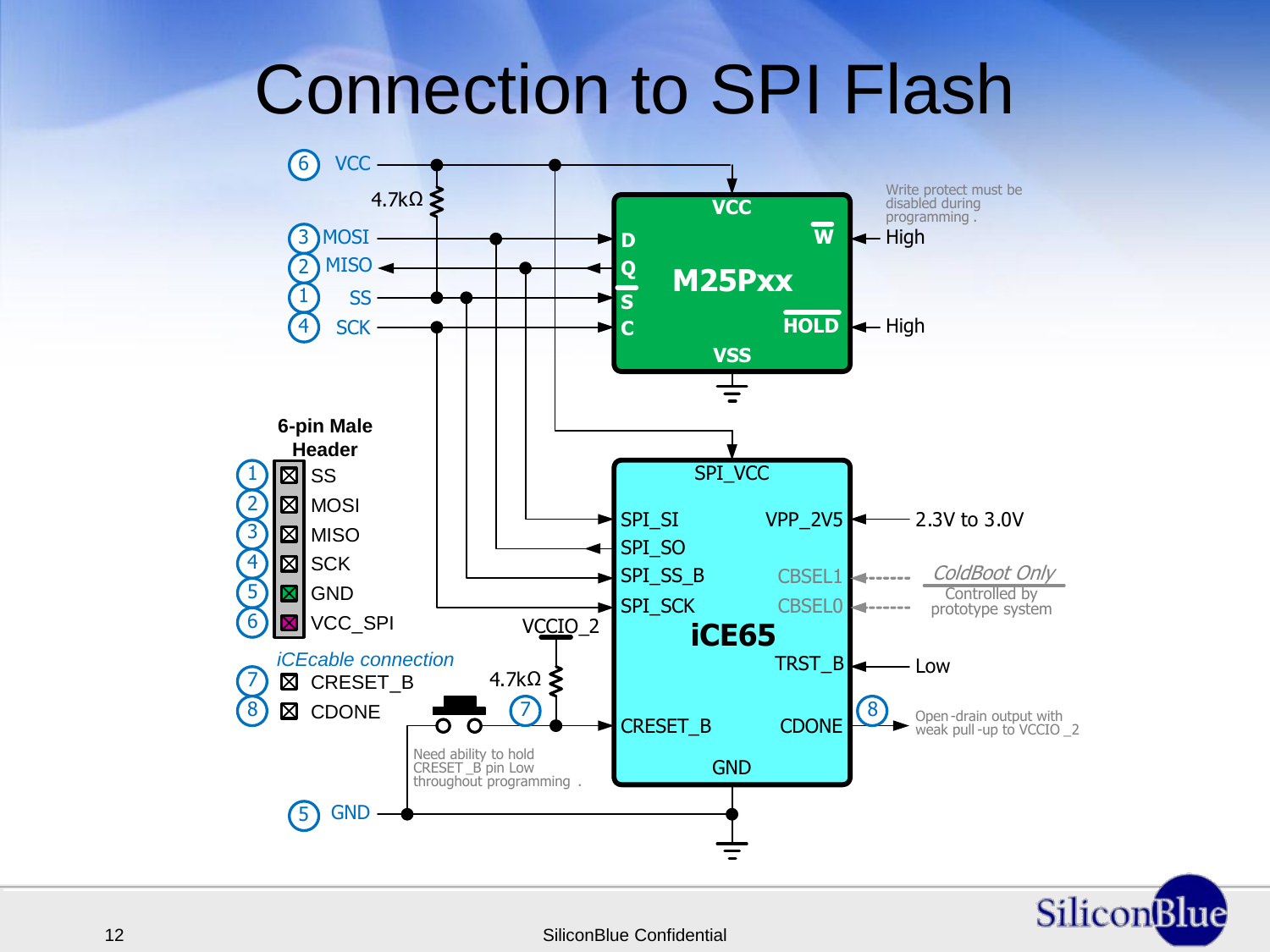#### Connection to SPI Flash

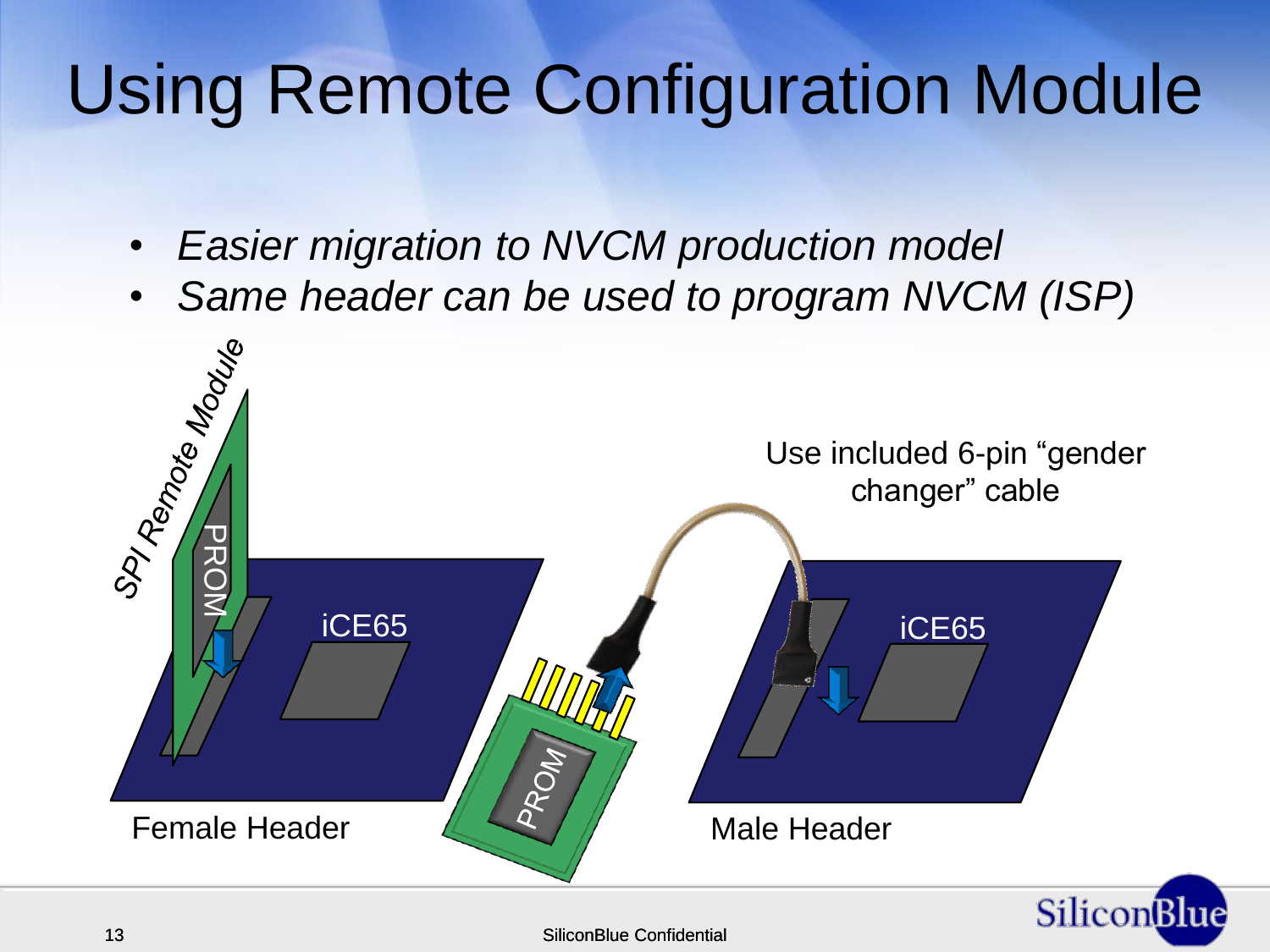### Using Remote Configuration Module

- *Easier migration to NVCM production model*
- *Same header can be used to program NVCM (ISP)*

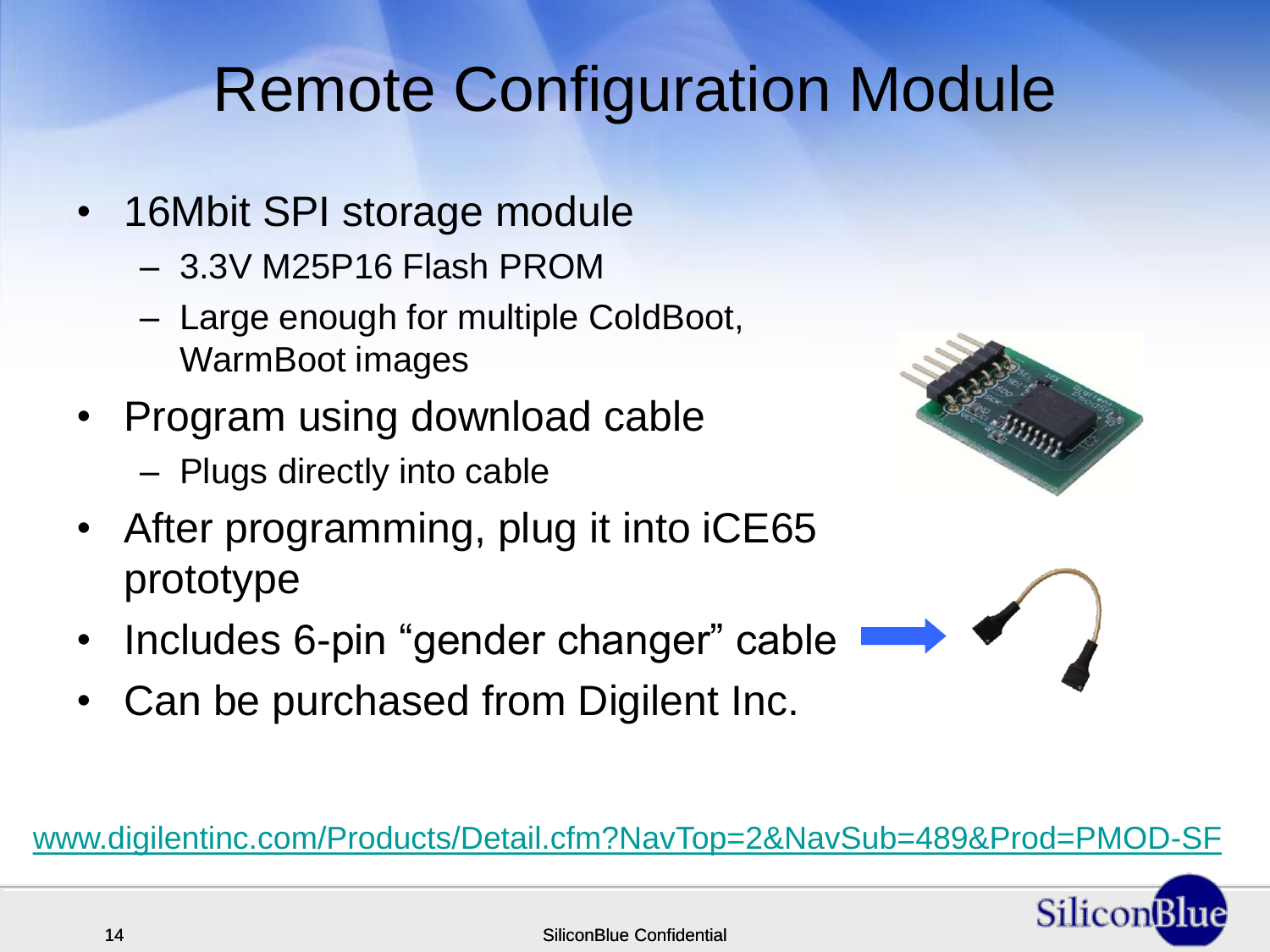#### Remote Configuration Module

- 16Mbit SPI storage module
	- 3.3V M25P16 Flash PROM
	- Large enough for multiple ColdBoot, WarmBoot images
- Program using download cable
	- Plugs directly into cable
- After programming, plug it into iCE65 prototype
- Includes 6-pin "gender changer" cable
- Can be purchased from Digilent Inc.

[www.digilentinc.com/Products/Detail.cfm?NavTop=2&NavSub=489&Prod=PMOD-SF](https://www.digilentinc.com/Products/Detail.cfm?NavTop=2&NavSub=489&Prod=PMOD-SF)



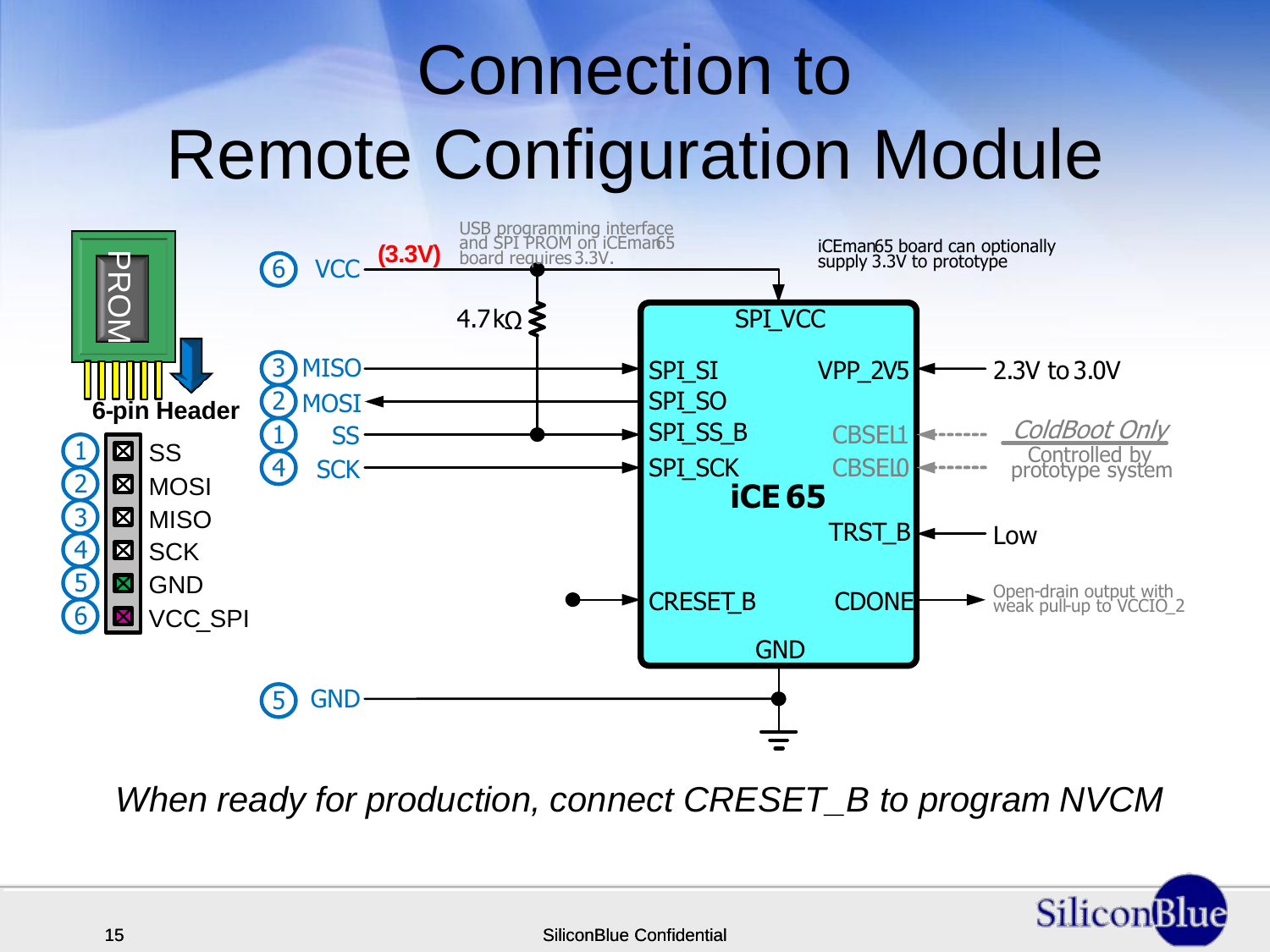# Connection to Remote Configuration Module



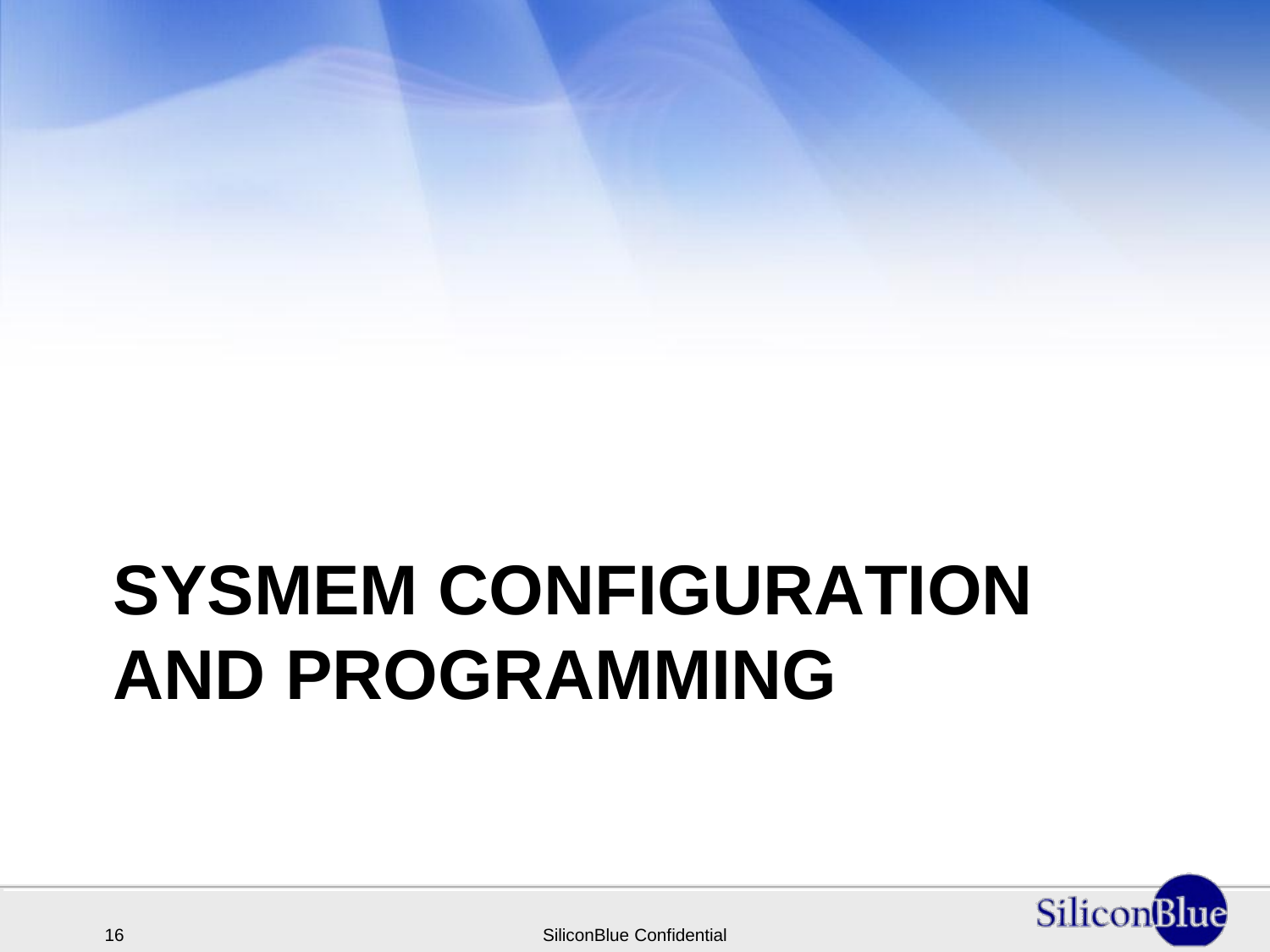# **SYSMEM CONFIGURATION AND PROGRAMMING**

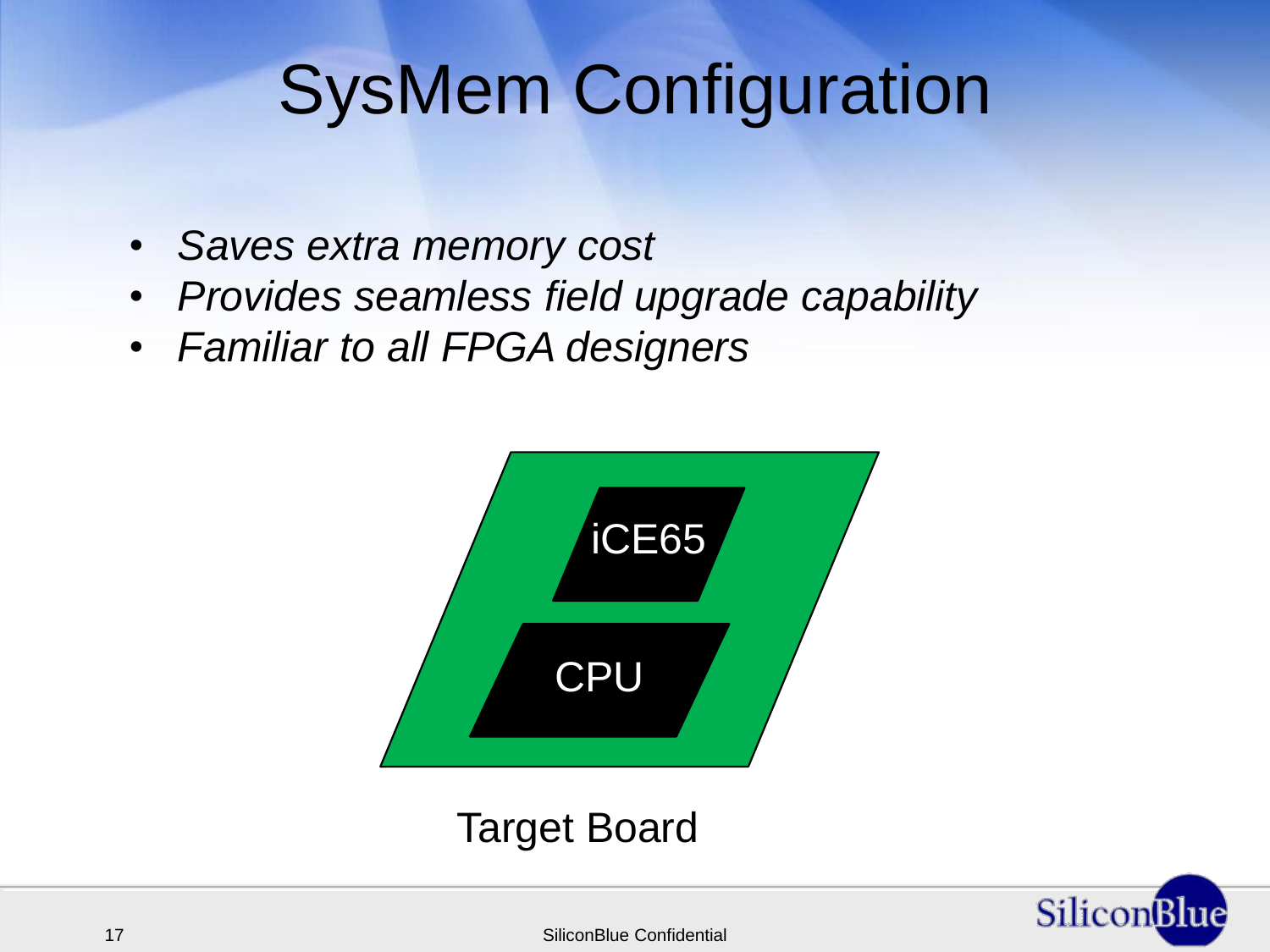## SysMem Configuration

- *Saves extra memory cost*
- *Provides seamless field upgrade capability*
- *Familiar to all FPGA designers*





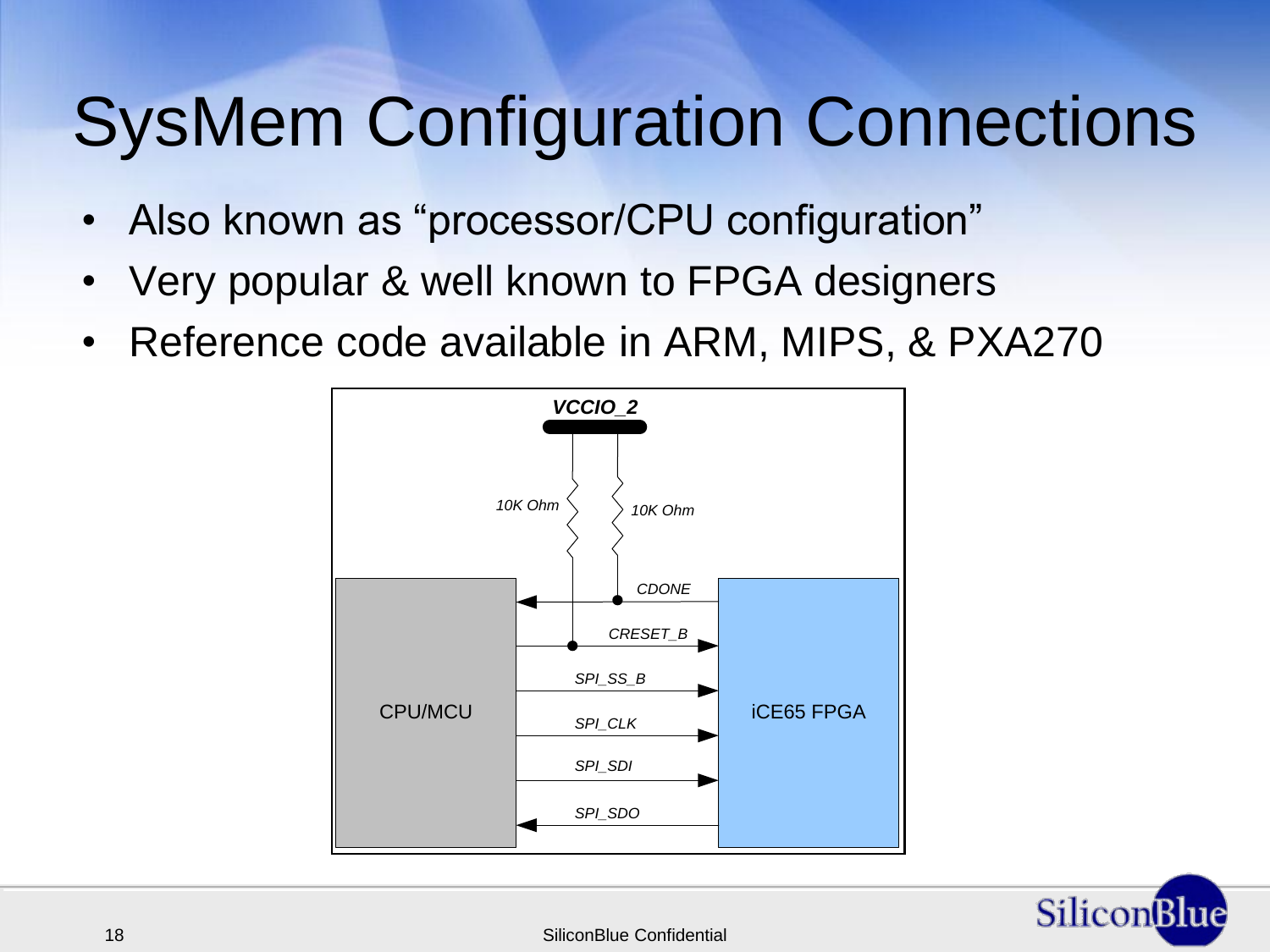# SysMem Configuration Connections

- Also known as "processor/CPU configuration"
- Very popular & well known to FPGA designers
- Reference code available in ARM, MIPS, & PXA270



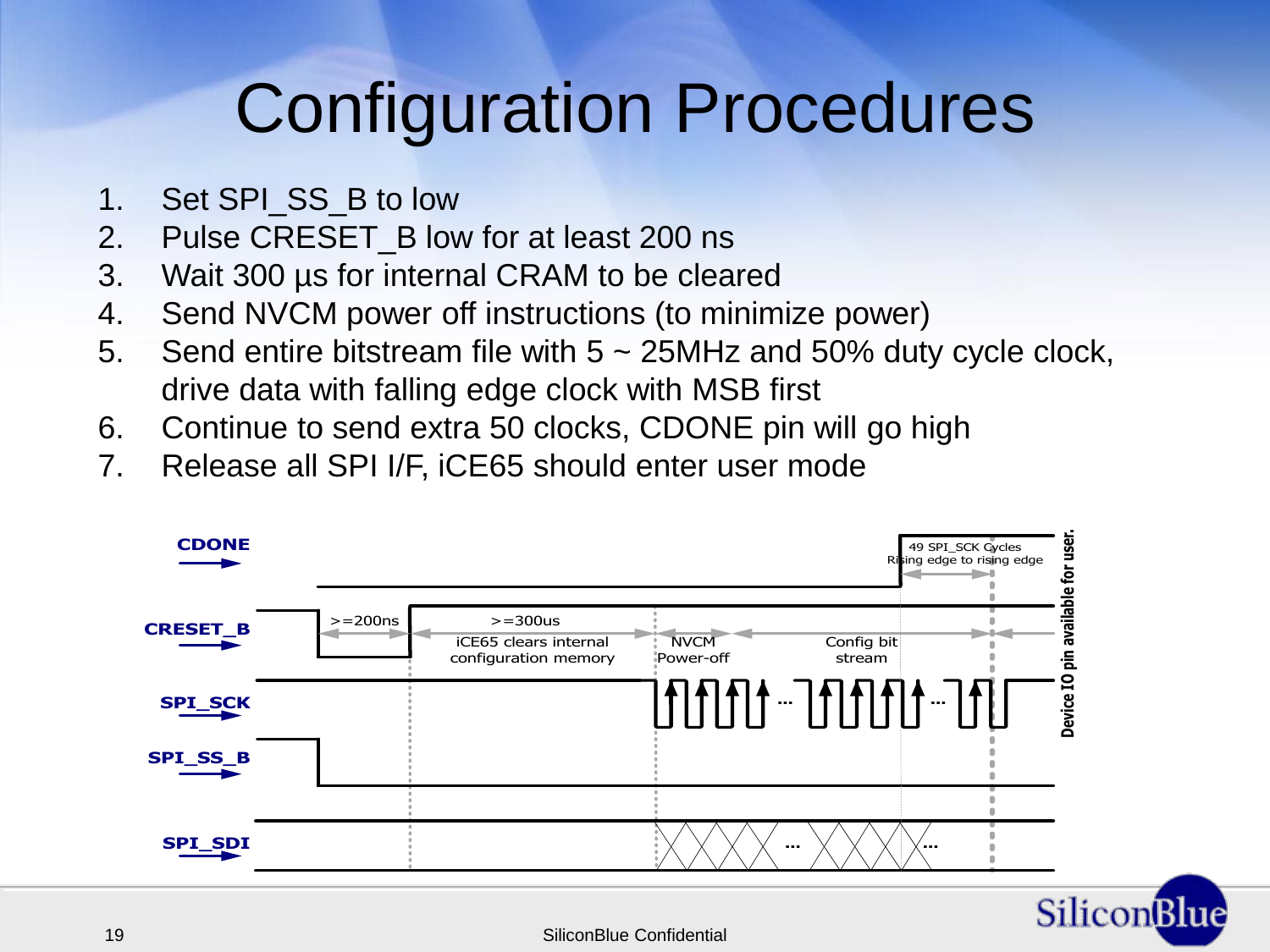#### Configuration Procedures

- 1. Set SPI\_SS\_B to low
- 2. Pulse CRESET\_B low for at least 200 ns
- 3. Wait 300 µs for internal CRAM to be cleared
- 4. Send NVCM power off instructions (to minimize power)
- 5. Send entire bitstream file with 5 ~ 25MHz and 50% duty cycle clock, drive data with falling edge clock with MSB first
- 6. Continue to send extra 50 clocks, CDONE pin will go high
- 7. Release all SPI I/F, iCE65 should enter user mode

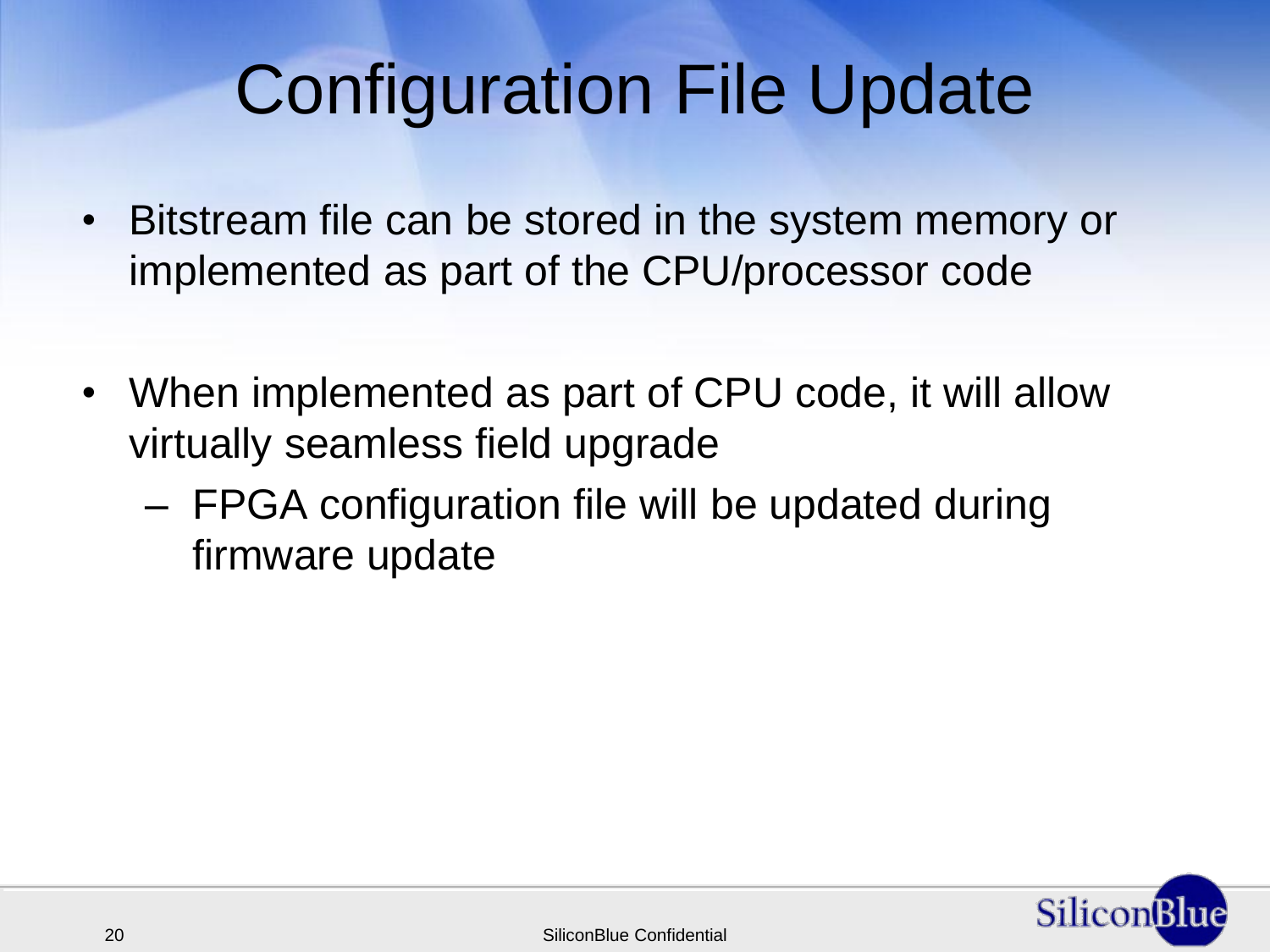#### Configuration File Update

- Bitstream file can be stored in the system memory or implemented as part of the CPU/processor code
- When implemented as part of CPU code, it will allow virtually seamless field upgrade
	- FPGA configuration file will be updated during firmware update

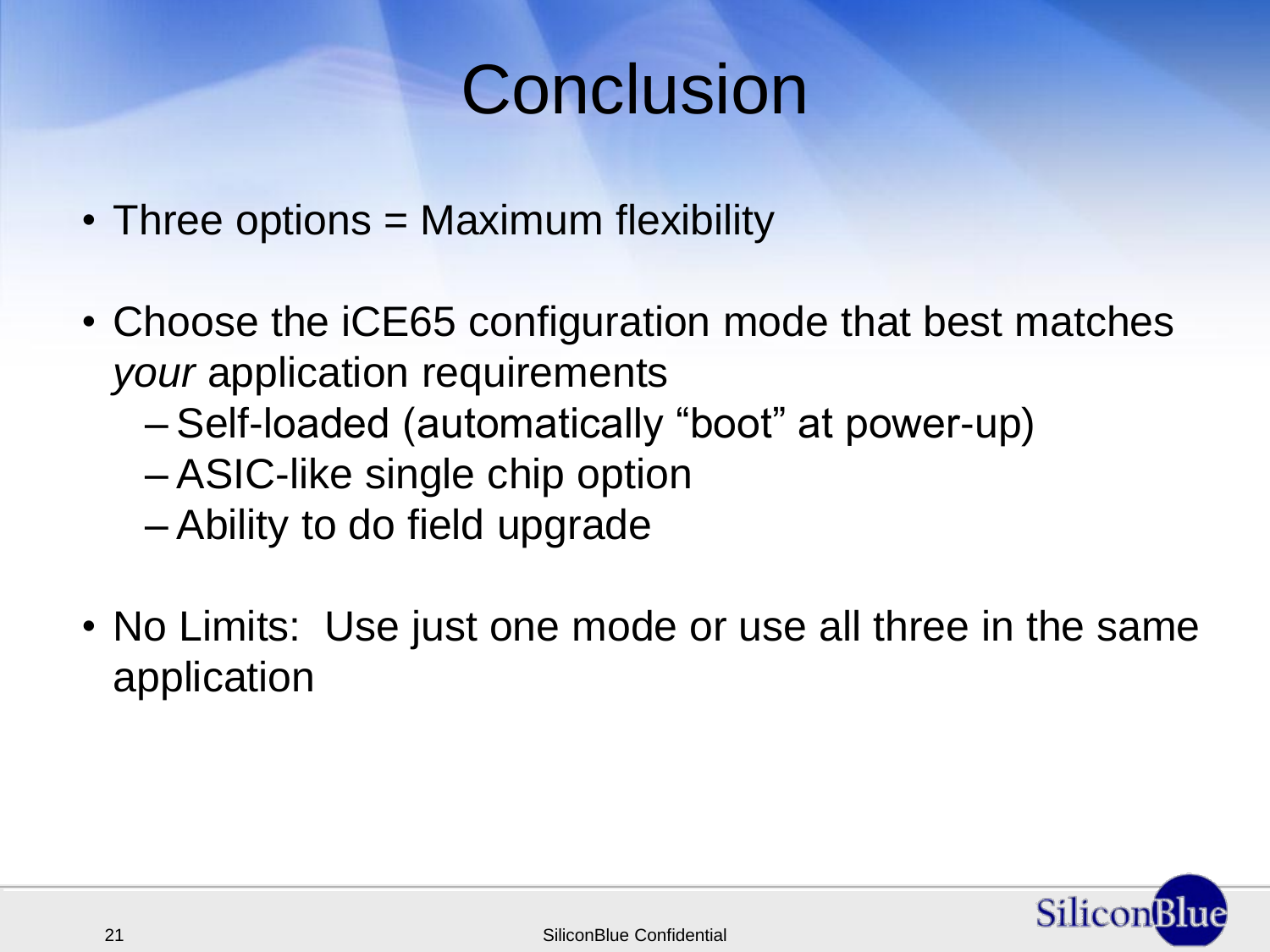#### **Conclusion**

- Three options = Maximum flexibility
- Choose the iCE65 configuration mode that best matches *your* application requirements
	- Self-loaded (automatically "boot" at power-up)
	- ASIC-like single chip option
	- Ability to do field upgrade
- No Limits: Use just one mode or use all three in the same application

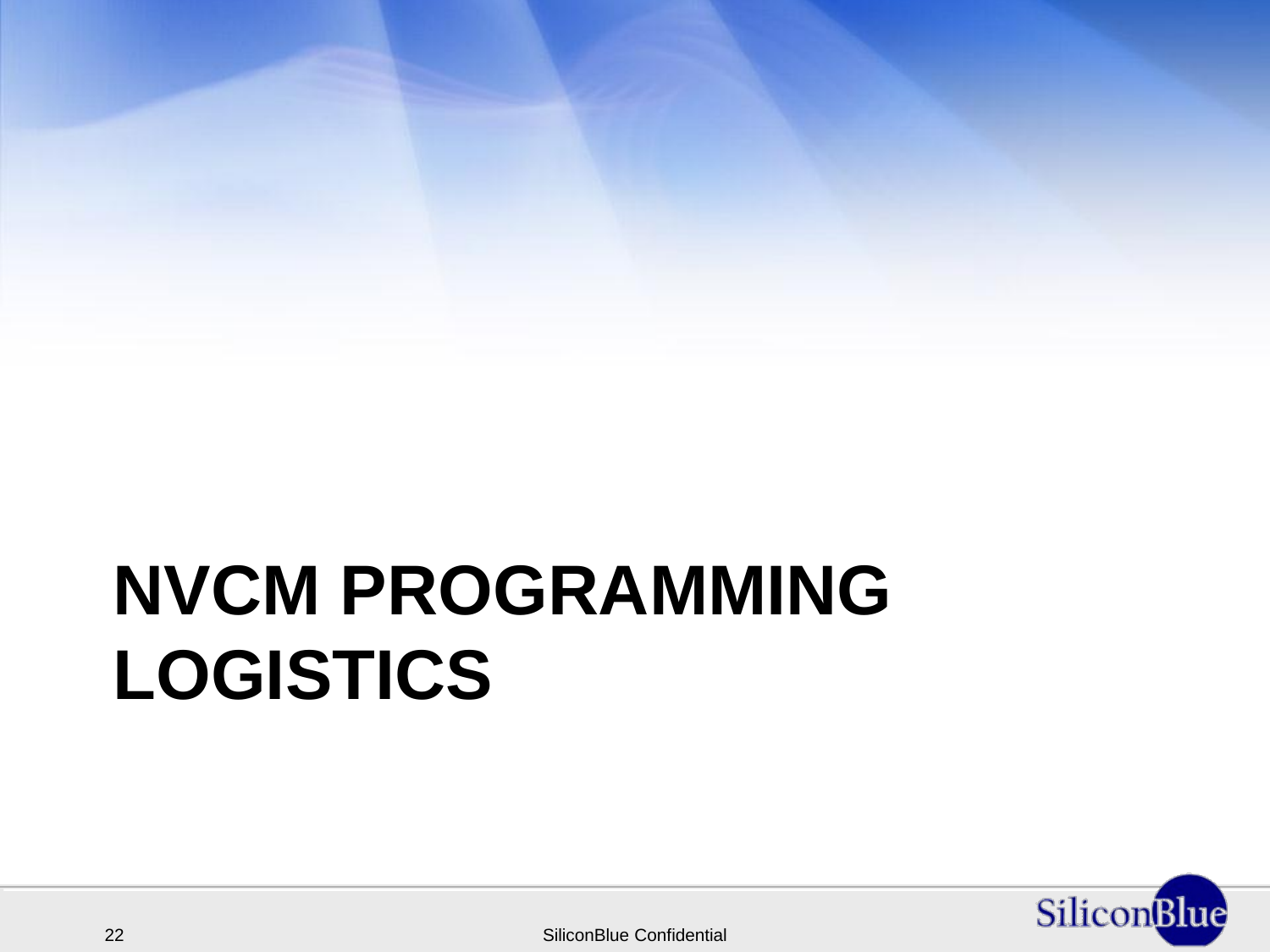# **NVCM PROGRAMMING LOGISTICS**

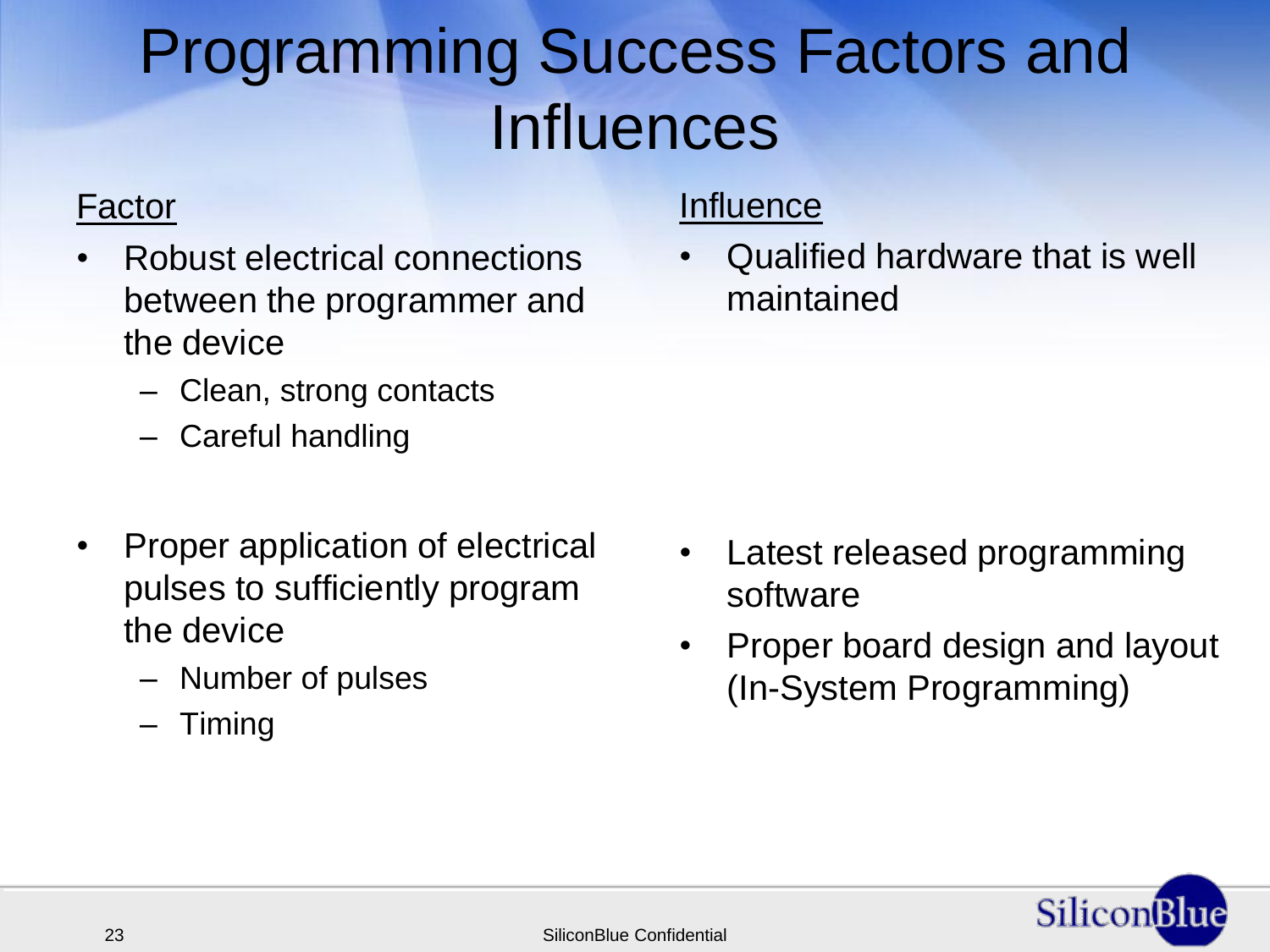#### Programming Success Factors and Influences

#### Factor

- Robust electrical connections between the programmer and the device
	- Clean, strong contacts
	- Careful handling
- Proper application of electrical pulses to sufficiently program the device
	- Number of pulses
	- Timing

#### **Influence**

• Qualified hardware that is well maintained

- Latest released programming software
- Proper board design and layout (In-System Programming)

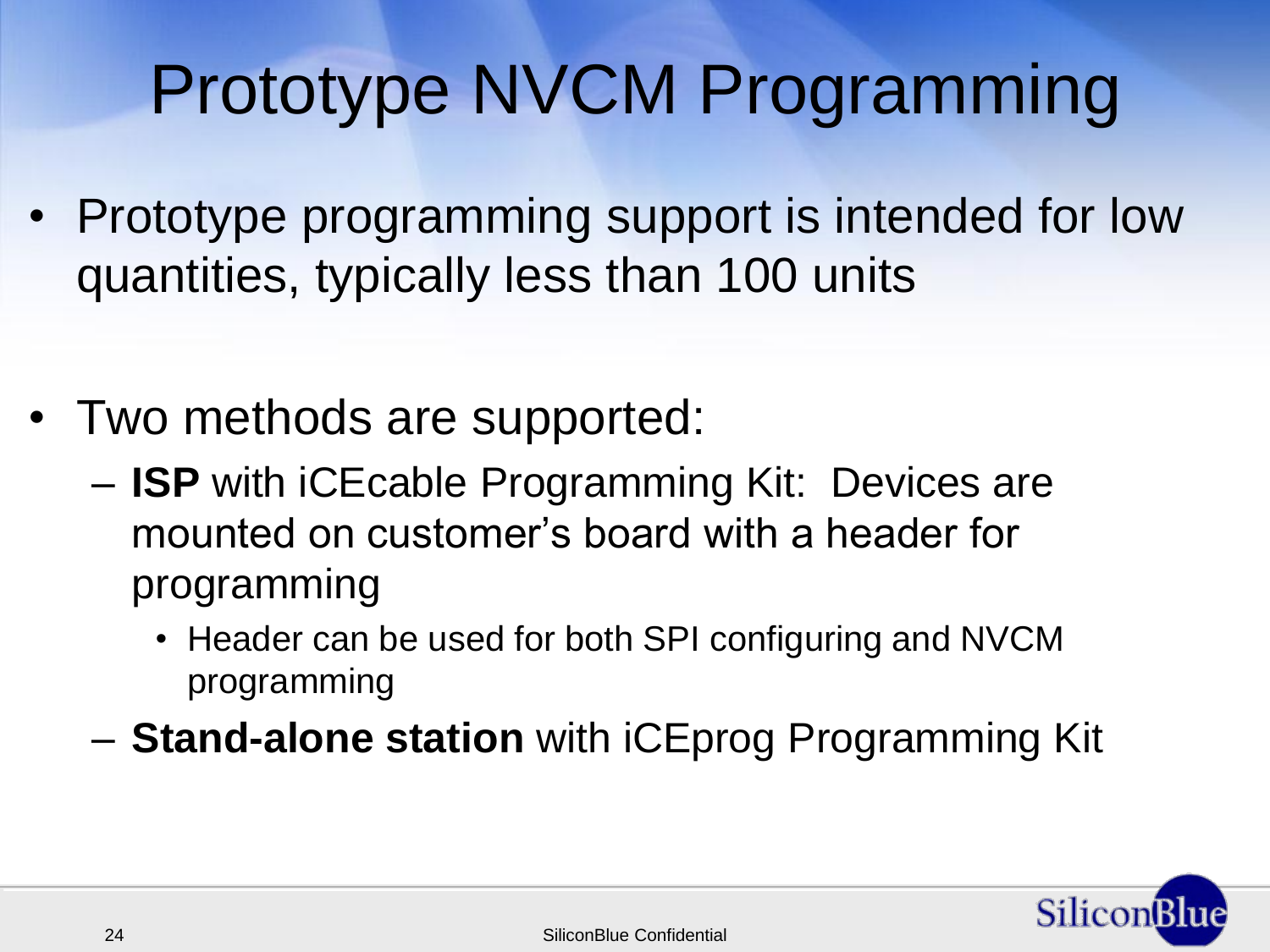### Prototype NVCM Programming

- Prototype programming support is intended for low quantities, typically less than 100 units
- Two methods are supported:
	- **ISP** with iCEcable Programming Kit: Devices are mounted on customer"s board with a header for programming
		- Header can be used for both SPI configuring and NVCM programming
	- **Stand-alone station** with iCEprog Programming Kit

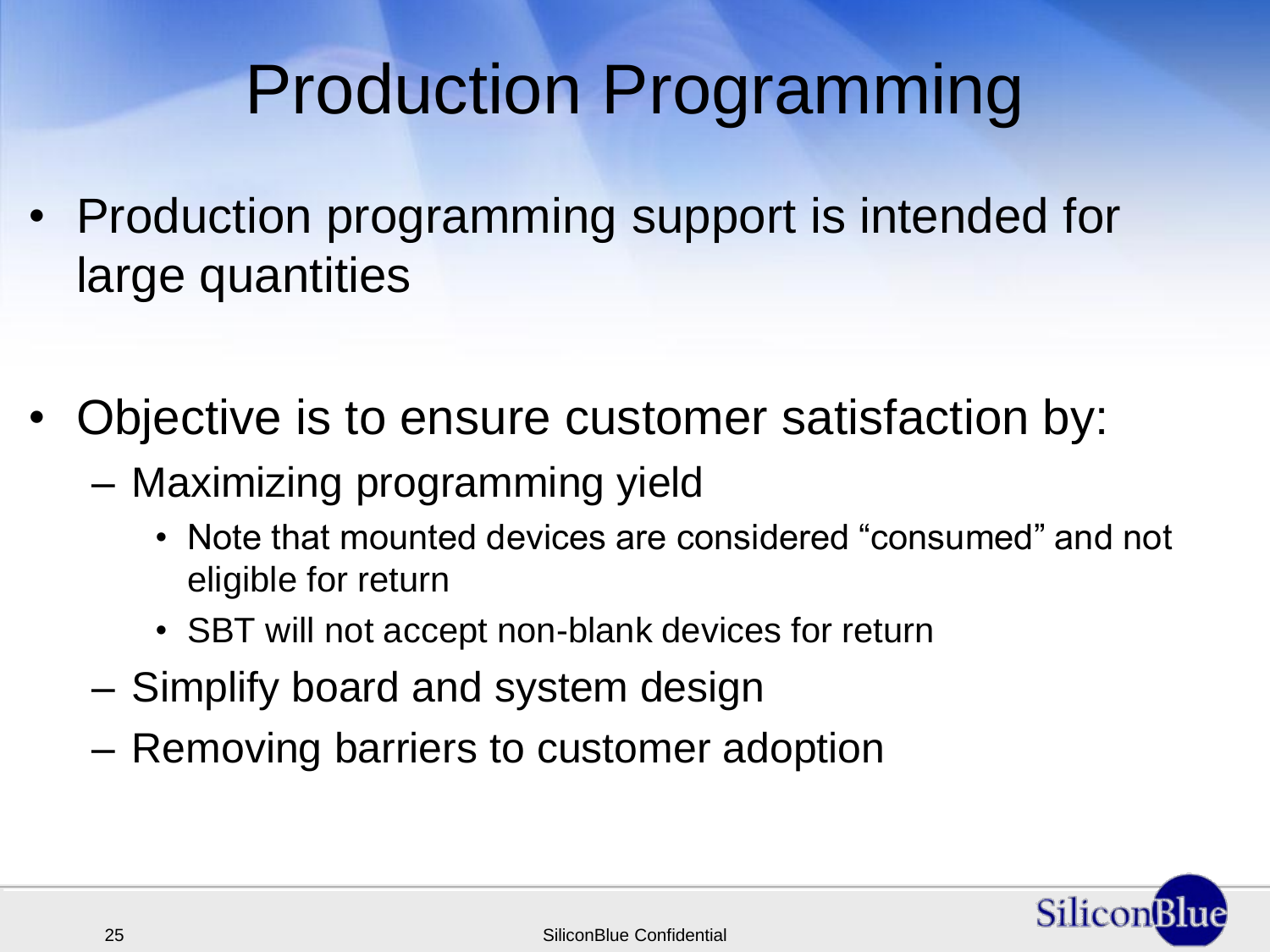#### Production Programming

- Production programming support is intended for large quantities
- Objective is to ensure customer satisfaction by:
	- Maximizing programming yield
		- Note that mounted devices are considered "consumed" and not eligible for return
		- SBT will not accept non-blank devices for return
	- Simplify board and system design
	- Removing barriers to customer adoption

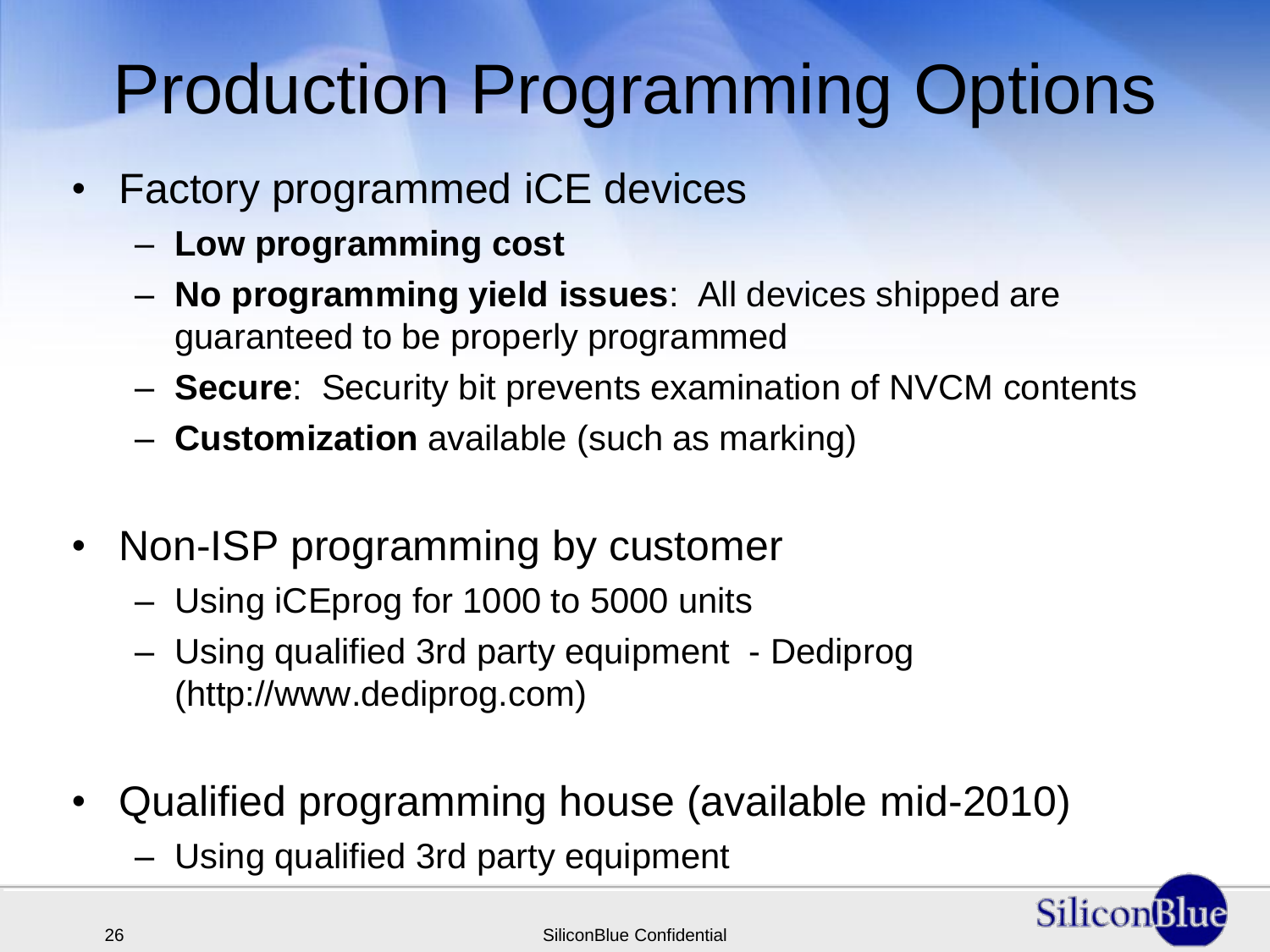## Production Programming Options

- Factory programmed iCE devices
	- **Low programming cost**
	- **No programming yield issues**: All devices shipped are guaranteed to be properly programmed
	- **Secure**: Security bit prevents examination of NVCM contents
	- **Customization** available (such as marking)
- Non-ISP programming by customer
	- Using iCEprog for 1000 to 5000 units
	- Using qualified 3rd party equipment Dediprog (http://www.dediprog.com)
- Qualified programming house (available mid-2010)
	- Using qualified 3rd party equipment

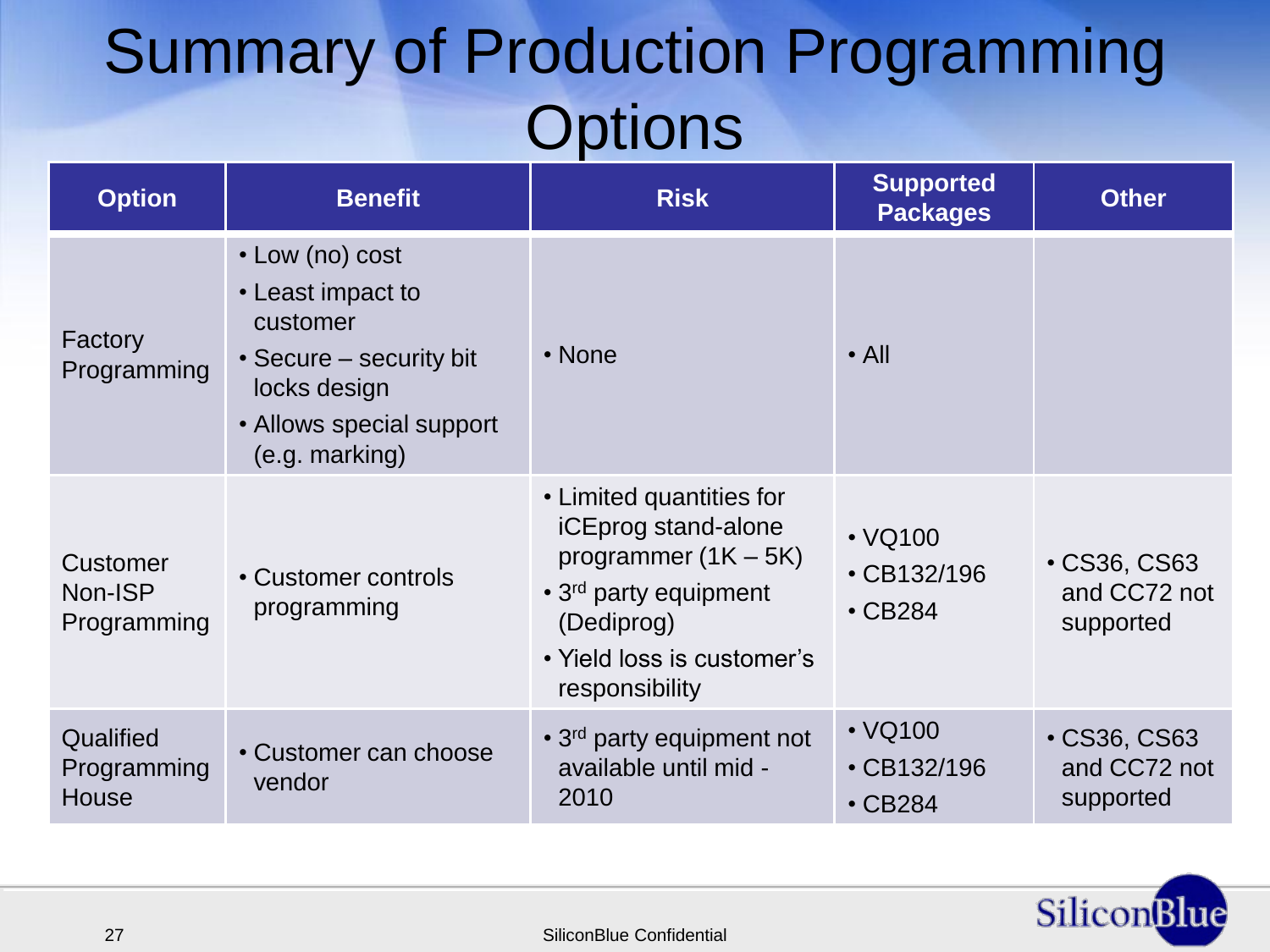#### Summary of Production Programming **Options**

| <b>Option</b>                             | <b>Benefit</b>                                                                                                                            | <b>Risk</b>                                                                                                                                                                  | <b>Supported</b><br><b>Packages</b>                 | <b>Other</b>                                   |
|-------------------------------------------|-------------------------------------------------------------------------------------------------------------------------------------------|------------------------------------------------------------------------------------------------------------------------------------------------------------------------------|-----------------------------------------------------|------------------------------------------------|
| Factory<br>Programming                    | • Low (no) cost<br>• Least impact to<br>customer<br>• Secure – security bit<br>locks design<br>• Allows special support<br>(e.g. marking) | • None                                                                                                                                                                       | $\cdot$ All                                         |                                                |
| <b>Customer</b><br>Non-ISP<br>Programming | • Customer controls<br>programming                                                                                                        | • Limited quantities for<br>iCEprog stand-alone<br>programmer $(1K - 5K)$<br>• 3 <sup>rd</sup> party equipment<br>(Dediprog)<br>• Yield loss is customer's<br>responsibility | $\cdot$ VQ100<br>$\cdot$ CB132/196<br>$\cdot$ CB284 | • CS36, CS63<br>and CC72 not<br>supported      |
| Qualified<br>Programming<br>House         | • Customer can choose<br>vendor                                                                                                           | • 3 <sup>rd</sup> party equipment not<br>available until mid -<br>2010                                                                                                       | $\cdot$ VQ100<br>$\cdot$ CB132/196<br>$\cdot$ CB284 | <b>CS36, CS63</b><br>and CC72 not<br>supported |

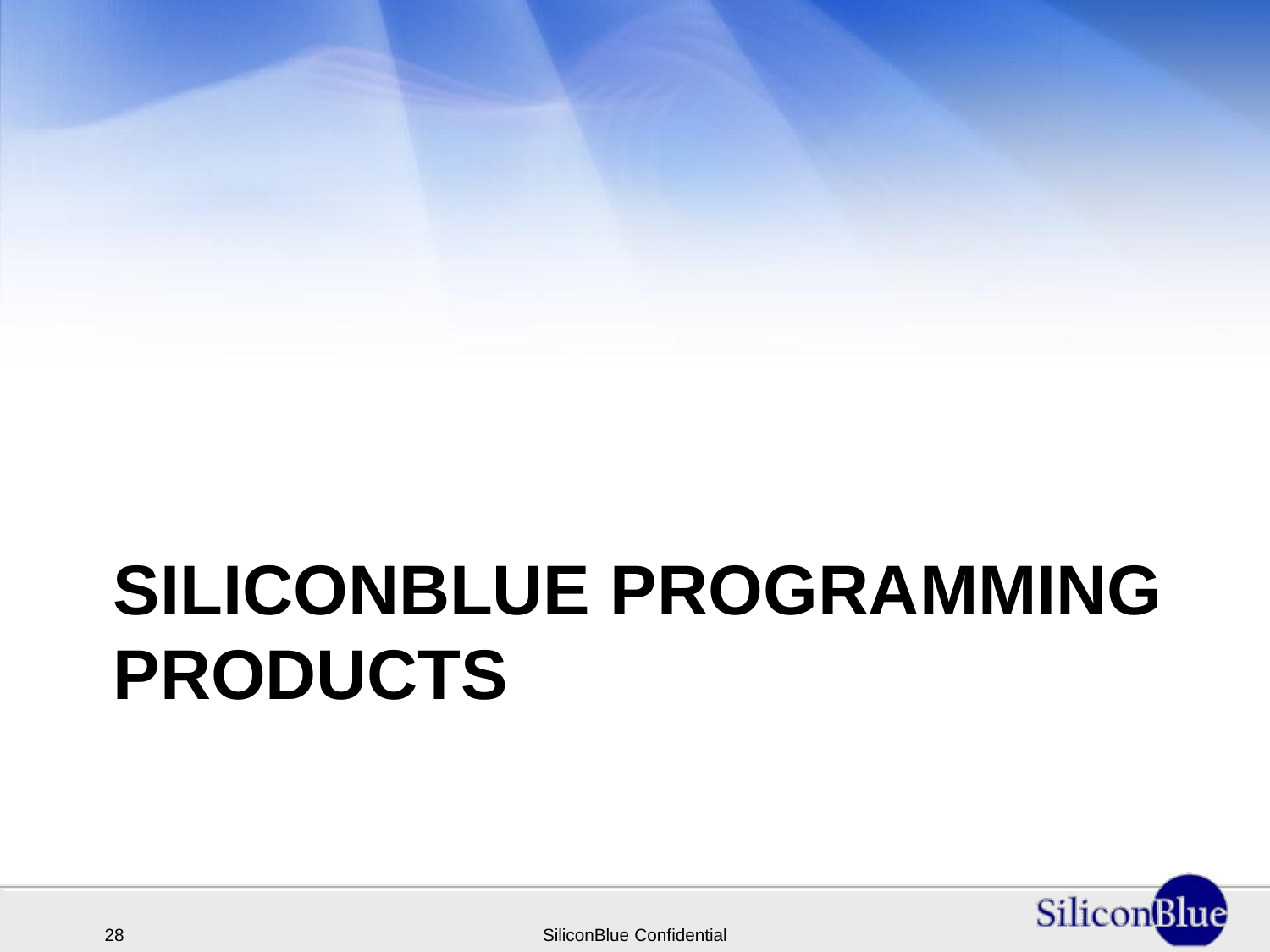# **SILICONBLUE PROGRAMMING PRODUCTS**



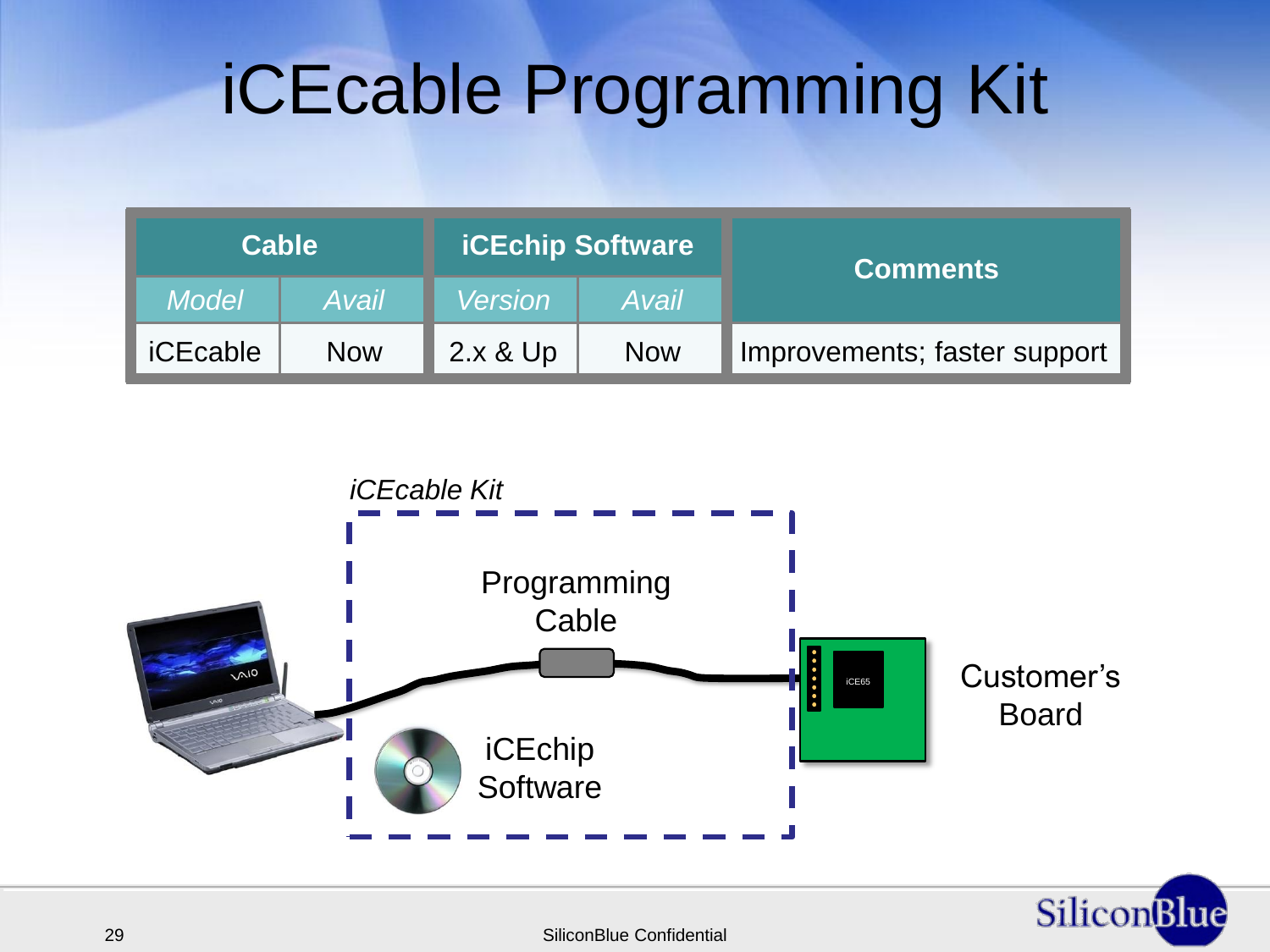### iCEcable Programming Kit

| <b>Cable</b>    |            | <b>ICEchip Software</b> |            | <b>Comments</b>              |
|-----------------|------------|-------------------------|------------|------------------------------|
| <b>Model</b>    | Avail      | <b>Version</b>          | Avail      |                              |
| <b>iCEcable</b> | <b>Now</b> | 2.x & Up                | <b>Now</b> | Improvements; faster support |



29 SiliconBlue Confidential

SiliconBlue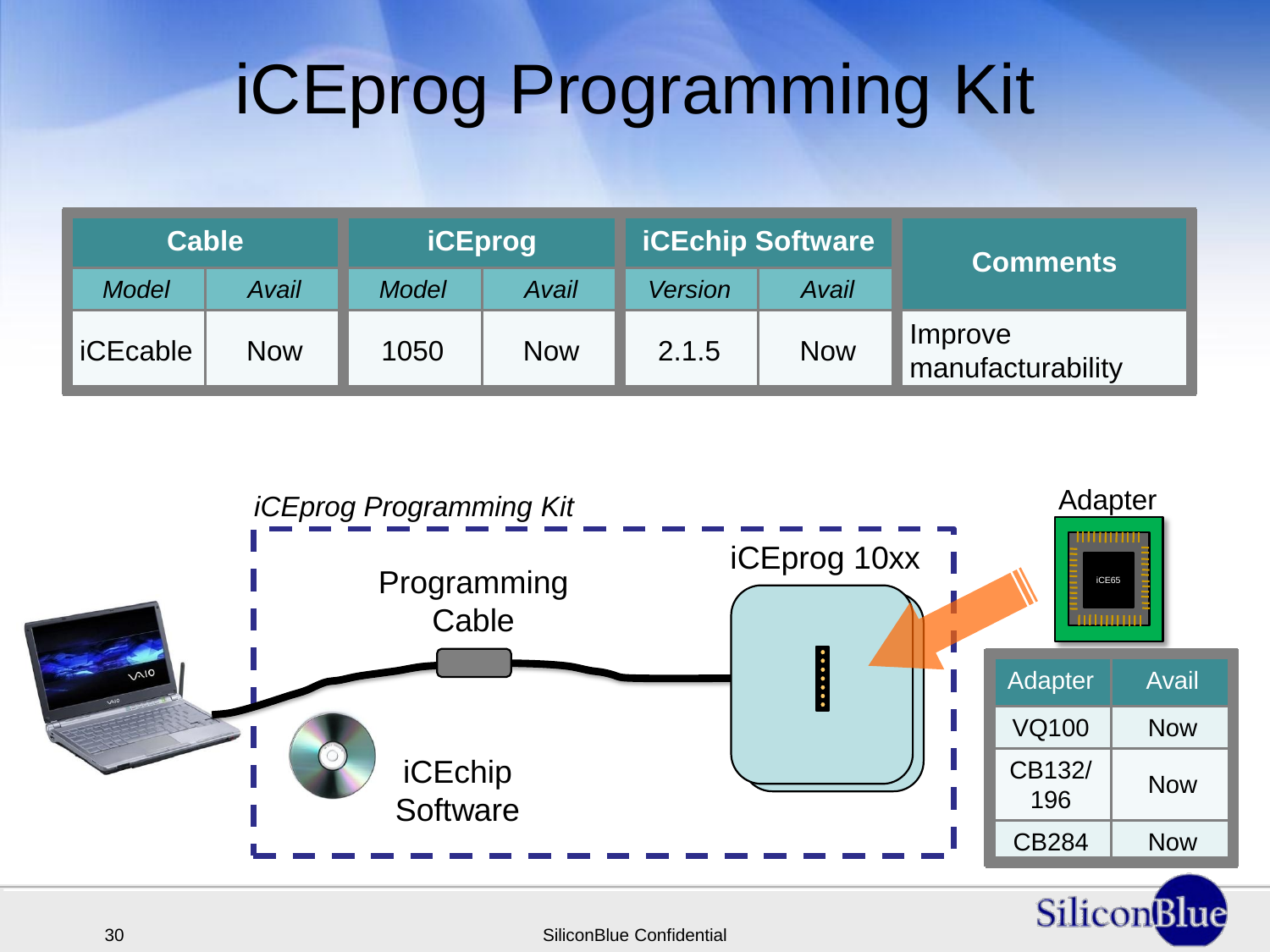# iCEprog Programming Kit

| <b>Cable</b>    |            | <b>iCEprog</b> |            | <b>ICEchip Software</b> |            | <b>Comments</b>              |
|-----------------|------------|----------------|------------|-------------------------|------------|------------------------------|
| <b>Model</b>    | Avail      | <b>Model</b>   | Avail      | <b>Version</b>          | Avail      |                              |
| <b>iCEcable</b> | <b>Now</b> | 1050           | <b>Now</b> | 2.1.5                   | <b>Now</b> | Improve<br>manufacturability |

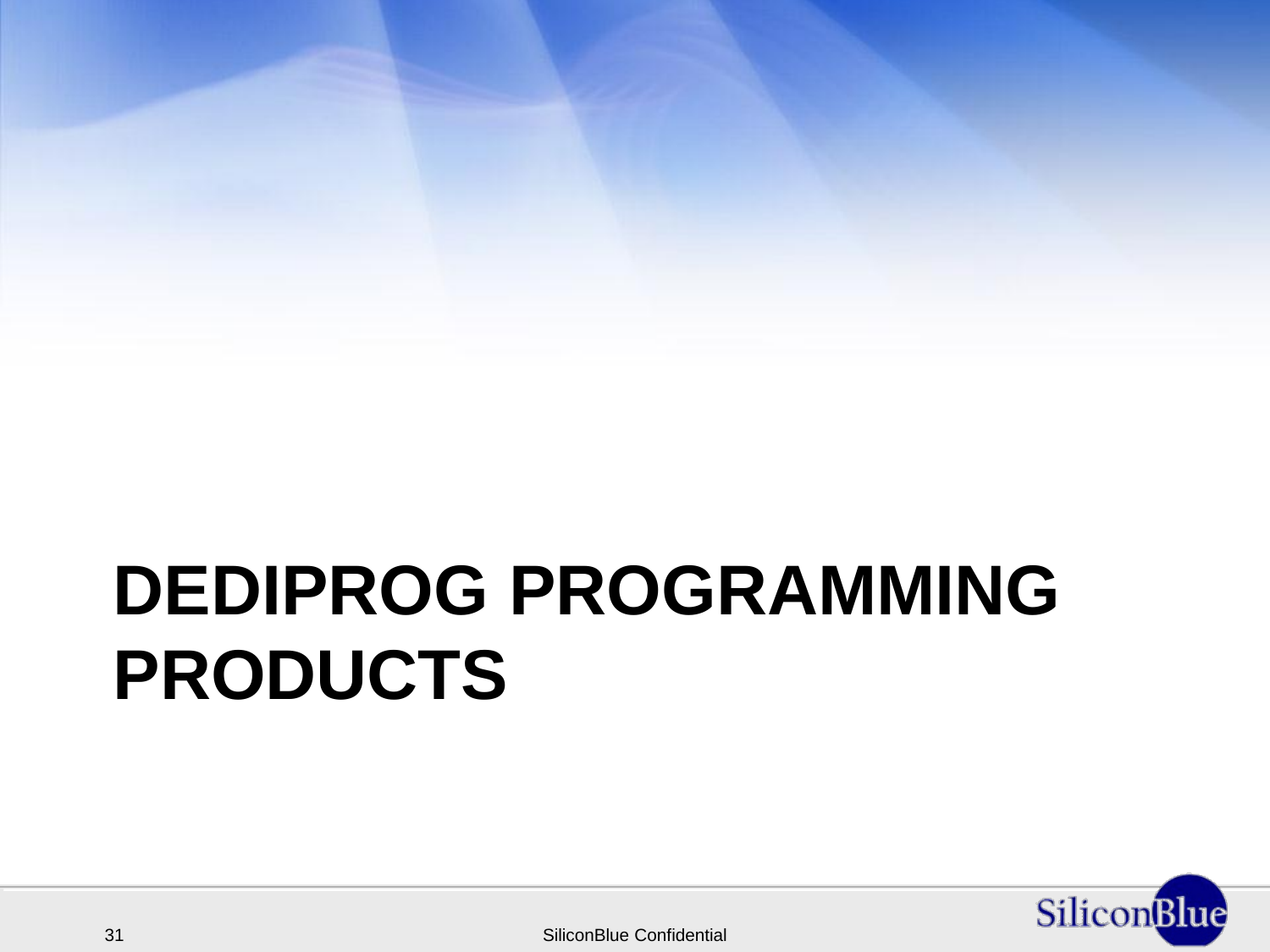# **DEDIPROG PROGRAMMING PRODUCTS**

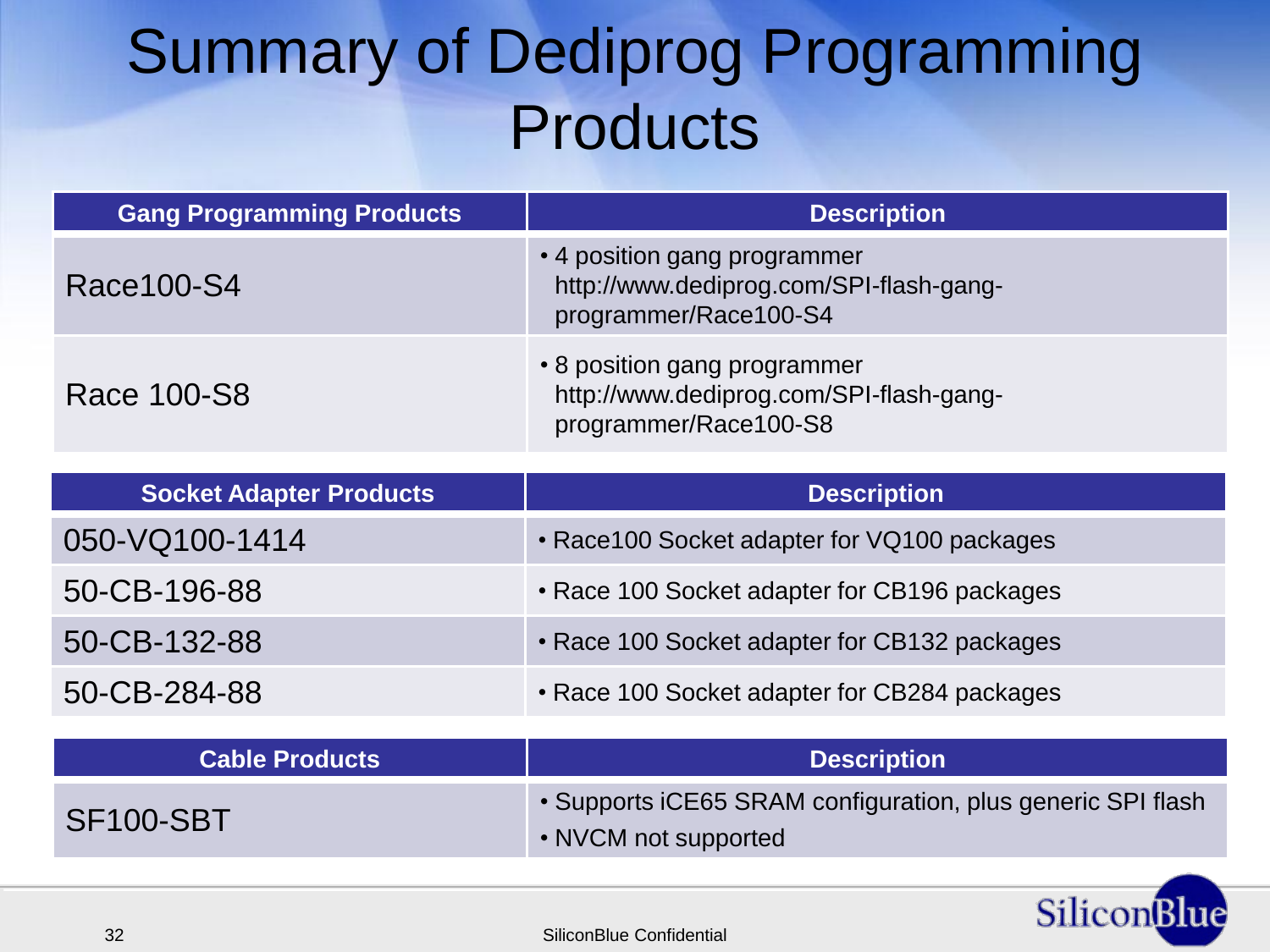#### Summary of Dediprog Programming **Products**

| <b>Gang Programming Products</b> | <b>Description</b>                                                                               |
|----------------------------------|--------------------------------------------------------------------------------------------------|
| Race 100-S4                      | • 4 position gang programmer<br>http://www.dediprog.com/SPI-flash-gang-<br>programmer/Race100-S4 |
| Race 100-S8                      | • 8 position gang programmer<br>http://www.dediprog.com/SPI-flash-gang-<br>programmer/Race100-S8 |

| <b>Socket Adapter Products</b> | <b>Description</b>                           |
|--------------------------------|----------------------------------------------|
| 050-VQ100-1414                 | • Race 100 Socket adapter for VQ100 packages |
| 50-CB-196-88                   | • Race 100 Socket adapter for CB196 packages |
| 50-CB-132-88                   | • Race 100 Socket adapter for CB132 packages |
| 50-CB-284-88                   | • Race 100 Socket adapter for CB284 packages |

| <b>Cable Products</b> | <b>Description</b>                                                                  |
|-----------------------|-------------------------------------------------------------------------------------|
| SF100-SBT             | • Supports iCE65 SRAM configuration, plus generic SPI flash<br>• NVCM not supported |

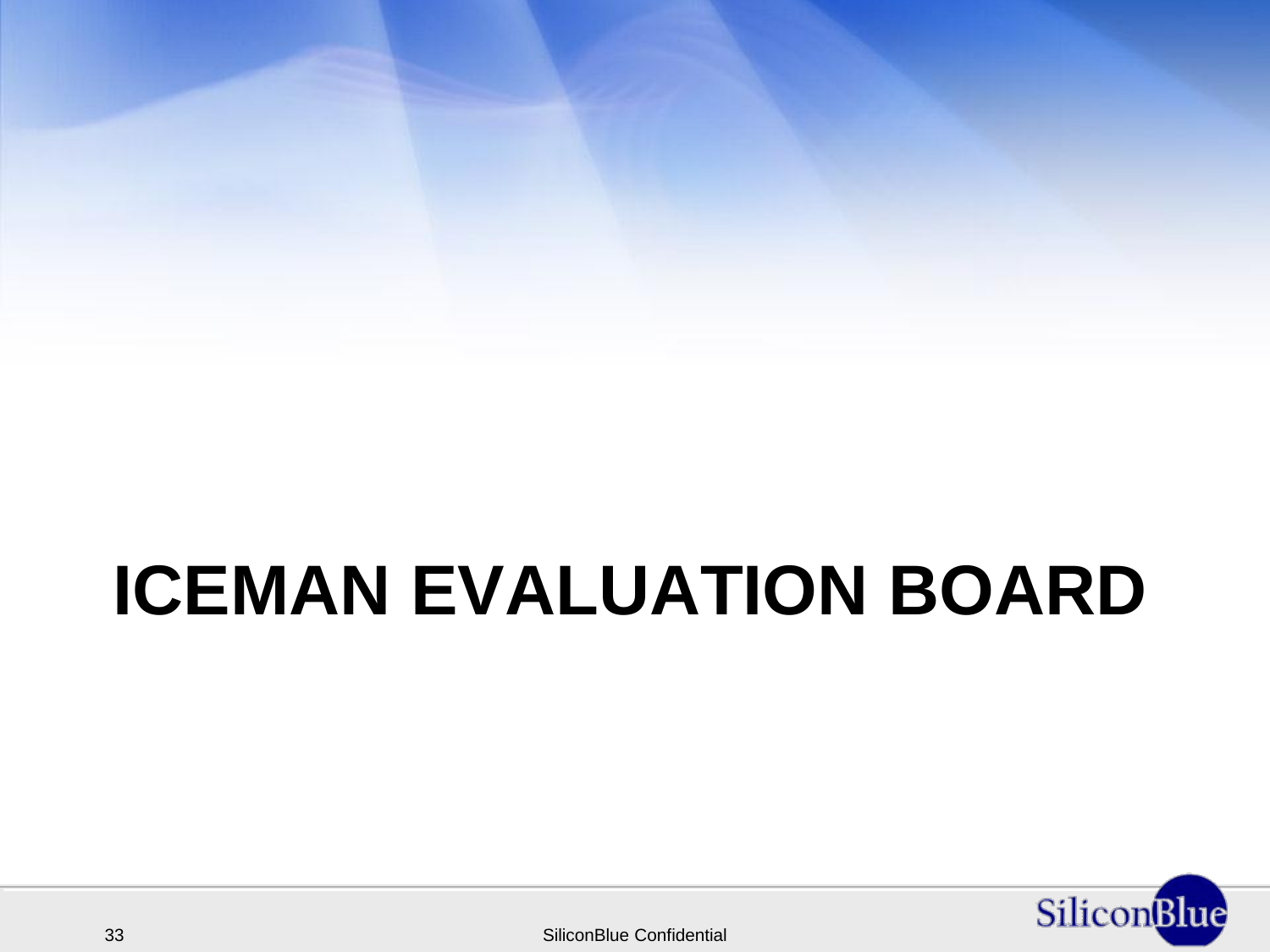### **ICEMAN EVALUATION BOARD**

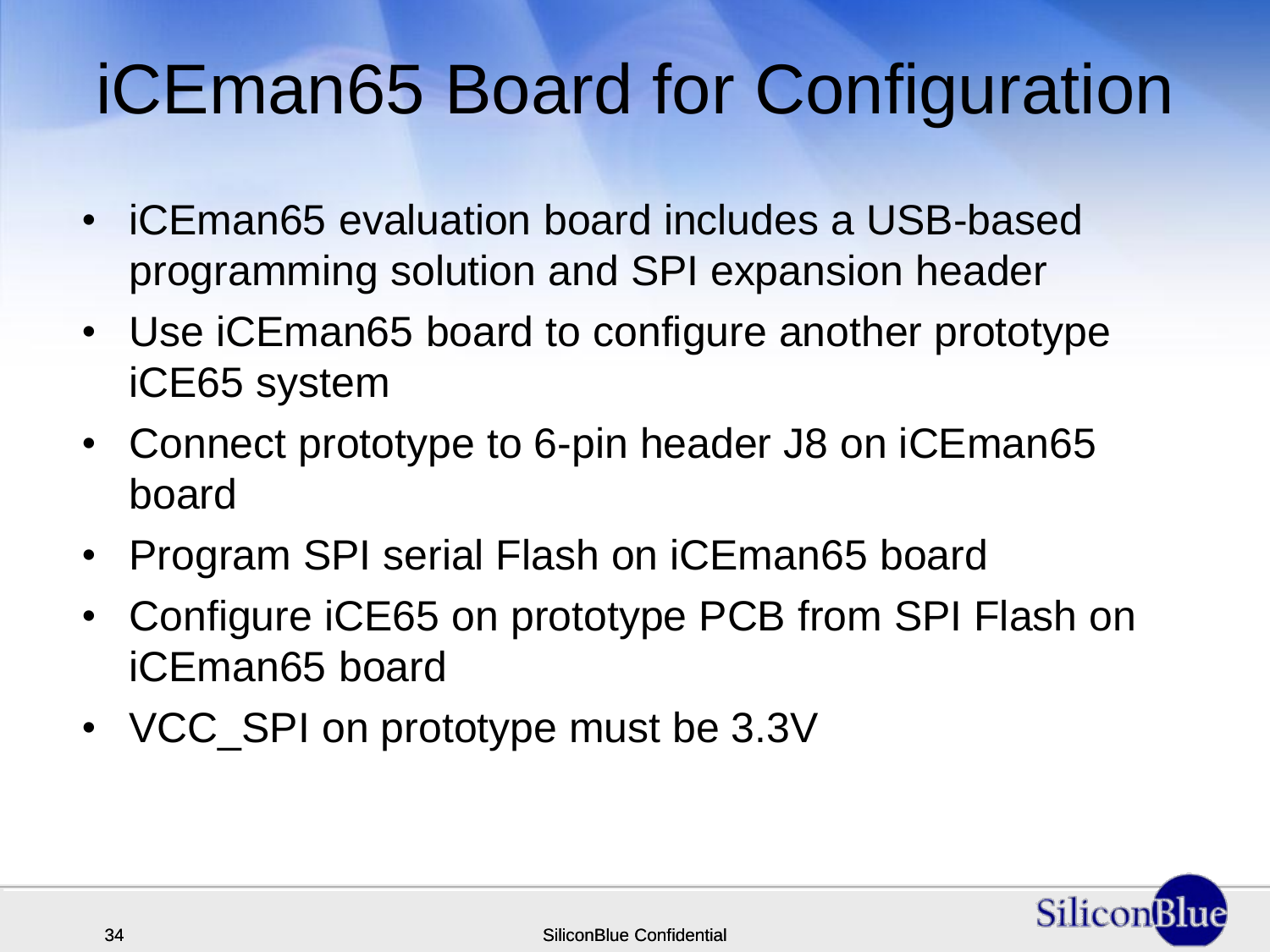## iCEman65 Board for Configuration

- iCEman65 evaluation board includes a USB-based programming solution and SPI expansion header
- Use iCEman65 board to configure another prototype iCE65 system
- Connect prototype to 6-pin header J8 on iCEman65 board
- Program SPI serial Flash on iCEman65 board
- Configure iCE65 on prototype PCB from SPI Flash on iCEman65 board
- VCC\_SPI on prototype must be 3.3V

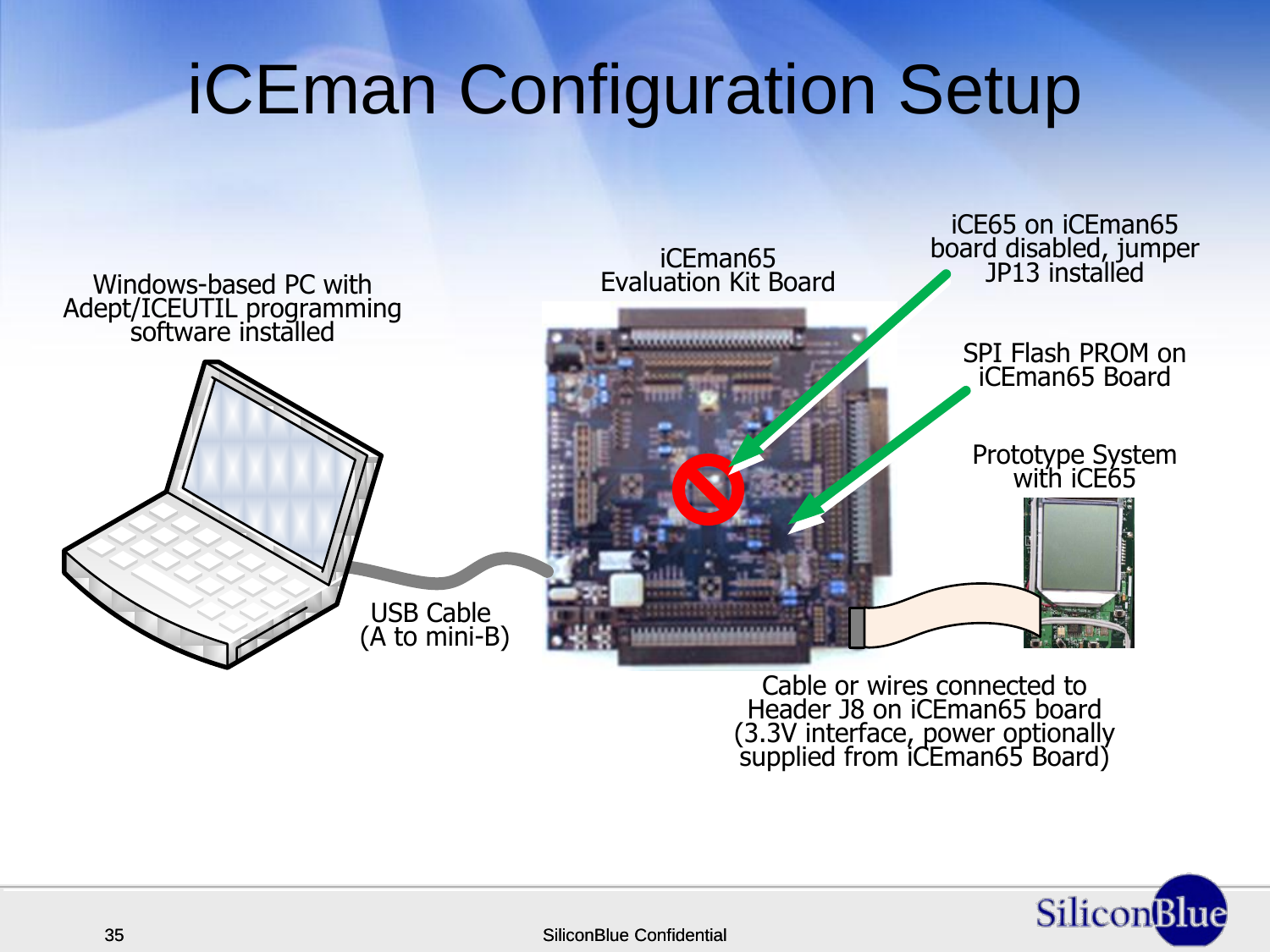#### iCEman Configuration Setup



Cable or wires connected to<br>Header J8 on iCEman65 board<br>(3.3V interface, power optionally<br>supplied from iCEman65 Board)